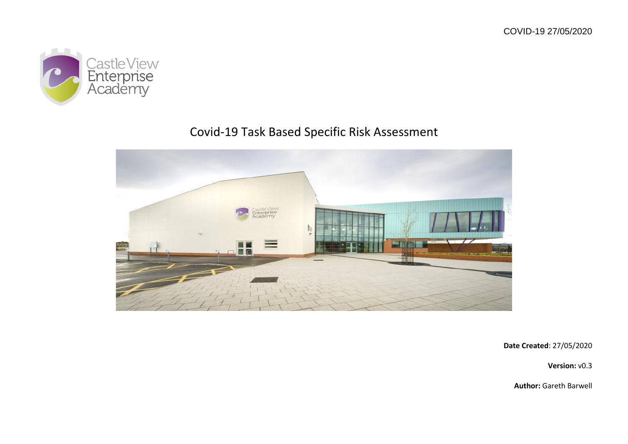

# Covid-19 Task Based Specific Risk Assessment



**Date Created**: 27/05/2020

**Version:** v0.3

**Author:** Gareth Barwell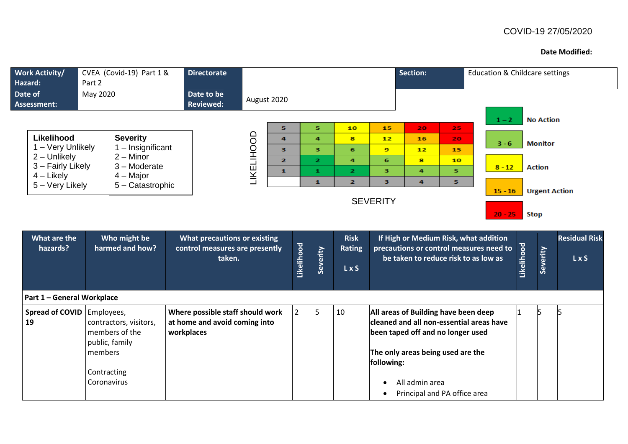#### **Date Modified:**

| <b>Work Activity/</b><br>CVEA (Covid-19) Part 1 &<br><b>Directorate</b><br>Part 2<br>Hazard: |                                                                                     |                                                                                 |             |                |                     | <b>Section:</b>                       |                 | <b>Education &amp; Childcare settings</b> |                                                                                                                                                            |                        |                   |                  |                               |
|----------------------------------------------------------------------------------------------|-------------------------------------------------------------------------------------|---------------------------------------------------------------------------------|-------------|----------------|---------------------|---------------------------------------|-----------------|-------------------------------------------|------------------------------------------------------------------------------------------------------------------------------------------------------------|------------------------|-------------------|------------------|-------------------------------|
| Date of<br><b>Assessment:</b>                                                                | May 2020                                                                            | Date to be<br><b>Reviewed:</b>                                                  | August 2020 |                |                     |                                       |                 |                                           |                                                                                                                                                            |                        |                   |                  |                               |
|                                                                                              |                                                                                     |                                                                                 |             |                |                     |                                       |                 |                                           |                                                                                                                                                            | $1 - 2$                |                   | <b>No Action</b> |                               |
| Likelihood                                                                                   | <b>Severity</b>                                                                     |                                                                                 |             | 5<br>4         | 5<br>$\overline{a}$ | 10<br>8                               | 15<br>12        | 20<br>16                                  | 25<br>20                                                                                                                                                   |                        |                   |                  |                               |
| 1 - Very Unlikely                                                                            | 1 - Insignificant                                                                   |                                                                                 | LIKELIHOOD  | 3              | 3                   | 6                                     | 9               | 12                                        | 15                                                                                                                                                         | $3 - 6$                |                   | <b>Monitor</b>   |                               |
| 2 - Unlikely                                                                                 | $2 -$ Minor                                                                         |                                                                                 |             | $\overline{2}$ | $\overline{2}$      | $\overline{a}$                        | 6               | 8                                         | 10                                                                                                                                                         |                        |                   |                  |                               |
| 3 - Fairly Likely                                                                            | 3 - Moderate<br>$4 -$ Major                                                         |                                                                                 |             | $\mathbf{1}$   | $\mathbf{1}$        | $\overline{2}$                        | 3               | 4                                         | 5                                                                                                                                                          | $8 - 12$               |                   | <b>Action</b>    |                               |
| $4$ – Likely<br>5 - Very Likely                                                              | 5 - Catastrophic                                                                    |                                                                                 |             |                | $\mathbf{1}$        | $\overline{2}$                        | 3               | 4                                         | 5.                                                                                                                                                         |                        |                   |                  |                               |
|                                                                                              |                                                                                     |                                                                                 |             |                |                     |                                       | <b>SEVERITY</b> |                                           |                                                                                                                                                            | $15 - 16$<br>$20 - 25$ |                   | <b>Stop</b>      | <b>Urgent Action</b>          |
| What are the<br>hazards?                                                                     | Who might be<br>harmed and how?                                                     | <b>What precautions or existing</b><br>control measures are presently<br>taken. |             | Likelihood     | Severity            | <b>Risk</b><br><b>Rating</b><br>L x S |                 |                                           | If High or Medium Risk, what addition<br>precautions or control measures need to<br>be taken to reduce risk to as low as                                   |                        | <u>Likelihood</u> | Severity         | <b>Residual Risk</b><br>L x S |
| Part 1 - General Workplace                                                                   |                                                                                     |                                                                                 |             |                |                     |                                       |                 |                                           |                                                                                                                                                            |                        |                   |                  |                               |
| Spread of COVID<br>19                                                                        | Employees,<br>contractors, visitors,<br>members of the<br>public, family<br>members | Where possible staff should work<br>at home and avoid coming into<br>workplaces |             | $\overline{2}$ | 5                   | 10                                    | following:      |                                           | All areas of Building have been deep<br>cleaned and all non-essential areas have<br>been taped off and no longer used<br>The only areas being used are the |                        |                   | l5               |                               |
|                                                                                              | Contracting<br>Coronavirus                                                          |                                                                                 |             |                |                     |                                       |                 | All admin area                            | Principal and PA office area                                                                                                                               |                        |                   |                  |                               |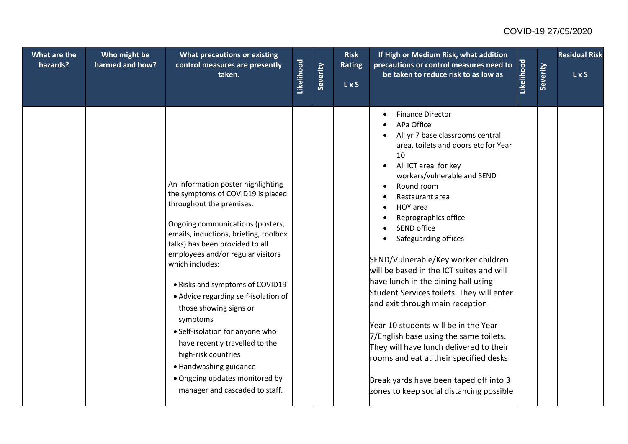| What are the<br>hazards? | Who might be<br>harmed and how? | What precautions or existing<br>control measures are presently<br>taken.                                                                                                                                                                                                                                                                                                                                                                                                                                                                                                               | Likelihood | Severity | <b>Risk</b><br><b>Rating</b><br>L x S | If High or Medium Risk, what addition<br>precautions or control measures need to<br>be taken to reduce risk to as low as                                                                                                                                                                                                                                                                                                                                                                                                                                                                                                                                                                                                                                          | Likelihood | Severity | <b>Residual Risk</b><br>LxS |
|--------------------------|---------------------------------|----------------------------------------------------------------------------------------------------------------------------------------------------------------------------------------------------------------------------------------------------------------------------------------------------------------------------------------------------------------------------------------------------------------------------------------------------------------------------------------------------------------------------------------------------------------------------------------|------------|----------|---------------------------------------|-------------------------------------------------------------------------------------------------------------------------------------------------------------------------------------------------------------------------------------------------------------------------------------------------------------------------------------------------------------------------------------------------------------------------------------------------------------------------------------------------------------------------------------------------------------------------------------------------------------------------------------------------------------------------------------------------------------------------------------------------------------------|------------|----------|-----------------------------|
|                          |                                 | An information poster highlighting<br>the symptoms of COVID19 is placed<br>throughout the premises.<br>Ongoing communications (posters,<br>emails, inductions, briefing, toolbox<br>talks) has been provided to all<br>employees and/or regular visitors<br>which includes:<br>• Risks and symptoms of COVID19<br>• Advice regarding self-isolation of<br>those showing signs or<br>symptoms<br>• Self-isolation for anyone who<br>have recently travelled to the<br>high-risk countries<br>• Handwashing guidance<br>• Ongoing updates monitored by<br>manager and cascaded to staff. |            |          |                                       | <b>Finance Director</b><br>APa Office<br>All yr 7 base classrooms central<br>area, toilets and doors etc for Year<br>10<br>All ICT area for key<br>workers/vulnerable and SEND<br>Round room<br>Restaurant area<br>HOY area<br>Reprographics office<br>SEND office<br>Safeguarding offices<br>SEND/Vulnerable/Key worker children<br>will be based in the ICT suites and will<br>have lunch in the dining hall using<br>Student Services toilets. They will enter<br>and exit through main reception<br>Year 10 students will be in the Year<br>7/English base using the same toilets.<br>They will have lunch delivered to their<br>rooms and eat at their specified desks<br>Break yards have been taped off into 3<br>zones to keep social distancing possible |            |          |                             |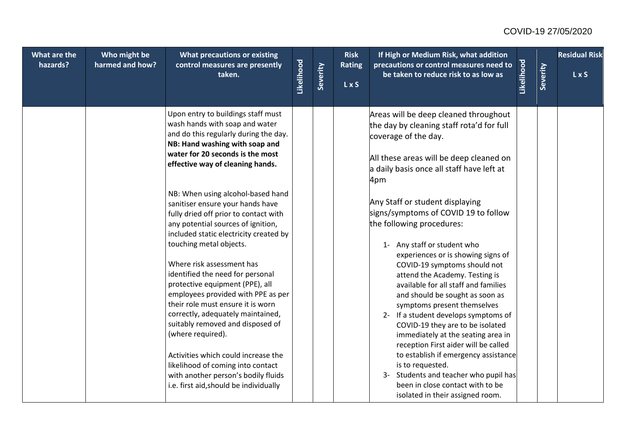| What are the | Who might be    | What precautions or existing                                                                                                                                                                                                                                                                                                                                        |            |          | <b>Risk</b>                 | If High or Medium Risk, what addition                                                                                                                                                                                                                                                                                                                                                                 |            |          | <b>Residual Risk</b> |
|--------------|-----------------|---------------------------------------------------------------------------------------------------------------------------------------------------------------------------------------------------------------------------------------------------------------------------------------------------------------------------------------------------------------------|------------|----------|-----------------------------|-------------------------------------------------------------------------------------------------------------------------------------------------------------------------------------------------------------------------------------------------------------------------------------------------------------------------------------------------------------------------------------------------------|------------|----------|----------------------|
| hazards?     | harmed and how? | control measures are presently<br>taken.                                                                                                                                                                                                                                                                                                                            | Likelihood | Severity | <b>Rating</b><br><b>LxS</b> | precautions or control measures need to<br>be taken to reduce risk to as low as                                                                                                                                                                                                                                                                                                                       | Likelihood | Severity | $L \times S$         |
|              |                 | Upon entry to buildings staff must<br>wash hands with soap and water<br>and do this regularly during the day.<br>NB: Hand washing with soap and<br>water for 20 seconds is the most<br>effective way of cleaning hands.                                                                                                                                             |            |          |                             | Areas will be deep cleaned throughout<br>the day by cleaning staff rota'd for full<br>coverage of the day.<br>All these areas will be deep cleaned on<br>a daily basis once all staff have left at<br>4pm                                                                                                                                                                                             |            |          |                      |
|              |                 | NB: When using alcohol-based hand<br>sanitiser ensure your hands have<br>fully dried off prior to contact with<br>any potential sources of ignition,<br>included static electricity created by<br>touching metal objects.<br>Where risk assessment has<br>identified the need for personal<br>protective equipment (PPE), all<br>employees provided with PPE as per |            |          |                             | Any Staff or student displaying<br>signs/symptoms of COVID 19 to follow<br>the following procedures:<br>1- Any staff or student who<br>experiences or is showing signs of<br>COVID-19 symptoms should not<br>attend the Academy. Testing is<br>available for all staff and families                                                                                                                   |            |          |                      |
|              |                 | their role must ensure it is worn<br>correctly, adequately maintained,<br>suitably removed and disposed of<br>(where required).<br>Activities which could increase the<br>likelihood of coming into contact<br>with another person's bodily fluids<br>i.e. first aid, should be individually                                                                        |            |          |                             | and should be sought as soon as<br>symptoms present themselves<br>2- If a student develops symptoms of<br>COVID-19 they are to be isolated<br>immediately at the seating area in<br>reception First aider will be called<br>to establish if emergency assistance<br>is to requested.<br>3- Students and teacher who pupil has<br>been in close contact with to be<br>isolated in their assigned room. |            |          |                      |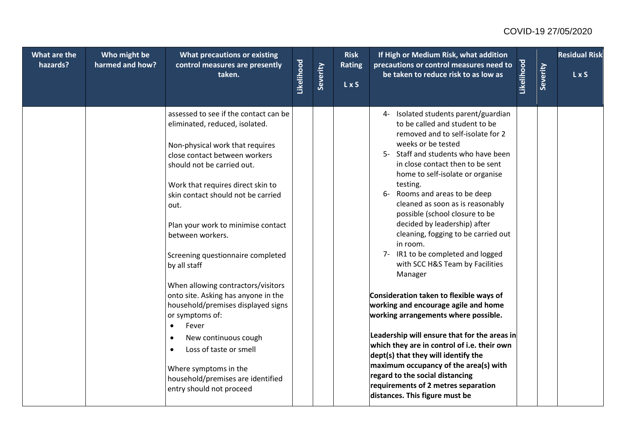| What are the<br>hazards? | Who might be<br>harmed and how? | <b>What precautions or existing</b><br>control measures are presently<br>taken.                                                                                                                                                                                                                                                                                                                                                                                                                                                                                                                                                                                                     | Likelihood | Severity | <b>Risk</b><br><b>Rating</b><br>L x S | If High or Medium Risk, what addition<br>precautions or control measures need to<br>be taken to reduce risk to as low as                                                                                                                                                                                                                                                                                                                                                                                                                                                                                                                                                                                                                                                                                                                                                                                                                                        | Likelihood | Severity | <b>Residual Risk</b><br>LxS |
|--------------------------|---------------------------------|-------------------------------------------------------------------------------------------------------------------------------------------------------------------------------------------------------------------------------------------------------------------------------------------------------------------------------------------------------------------------------------------------------------------------------------------------------------------------------------------------------------------------------------------------------------------------------------------------------------------------------------------------------------------------------------|------------|----------|---------------------------------------|-----------------------------------------------------------------------------------------------------------------------------------------------------------------------------------------------------------------------------------------------------------------------------------------------------------------------------------------------------------------------------------------------------------------------------------------------------------------------------------------------------------------------------------------------------------------------------------------------------------------------------------------------------------------------------------------------------------------------------------------------------------------------------------------------------------------------------------------------------------------------------------------------------------------------------------------------------------------|------------|----------|-----------------------------|
|                          |                                 | assessed to see if the contact can be<br>eliminated, reduced, isolated.<br>Non-physical work that requires<br>close contact between workers<br>should not be carried out.<br>Work that requires direct skin to<br>skin contact should not be carried<br>out.<br>Plan your work to minimise contact<br>between workers.<br>Screening questionnaire completed<br>by all staff<br>When allowing contractors/visitors<br>onto site. Asking has anyone in the<br>household/premises displayed signs<br>or symptoms of:<br>Fever<br>$\bullet$<br>New continuous cough<br>Loss of taste or smell<br>Where symptoms in the<br>household/premises are identified<br>entry should not proceed |            |          |                                       | 4- Isolated students parent/guardian<br>to be called and student to be<br>removed and to self-isolate for 2<br>weeks or be tested<br>5- Staff and students who have been<br>in close contact then to be sent<br>home to self-isolate or organise<br>testing.<br>6- Rooms and areas to be deep<br>cleaned as soon as is reasonably<br>possible (school closure to be<br>decided by leadership) after<br>cleaning, fogging to be carried out<br>in room.<br>7- IR1 to be completed and logged<br>with SCC H&S Team by Facilities<br>Manager<br>Consideration taken to flexible ways of<br>working and encourage agile and home<br>working arrangements where possible.<br>Leadership will ensure that for the areas in<br>which they are in control of i.e. their own<br>dept(s) that they will identify the<br>maximum occupancy of the area(s) with<br>regard to the social distancing<br>requirements of 2 metres separation<br>distances. This figure must be |            |          |                             |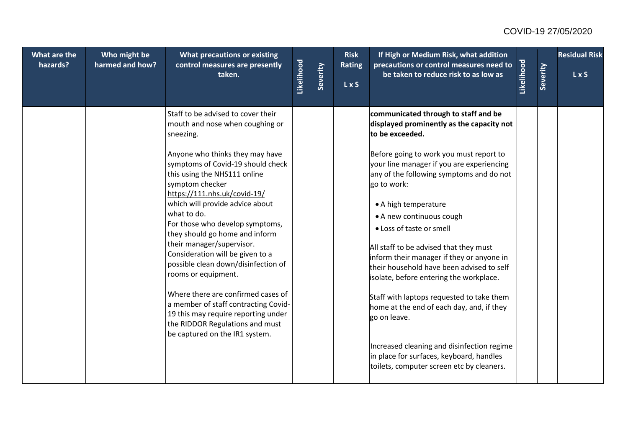| What are the<br>hazards? | Who might be<br>harmed and how? | <b>What precautions or existing</b><br>control measures are presently<br>taken.                                                                                                                                                                                                                                                                                                                                                                                                                                                                                                                                                                                                               | Likelihood | Severity | <b>Risk</b><br>Rating<br><b>LxS</b> | If High or Medium Risk, what addition<br>precautions or control measures need to<br>be taken to reduce risk to as low as                                                                                                                                                                                                                                                                                                                                                                                                                                                                                                                                                                                                                                                | Likelihood | Severity | <b>Residual Risk</b><br>L x S |
|--------------------------|---------------------------------|-----------------------------------------------------------------------------------------------------------------------------------------------------------------------------------------------------------------------------------------------------------------------------------------------------------------------------------------------------------------------------------------------------------------------------------------------------------------------------------------------------------------------------------------------------------------------------------------------------------------------------------------------------------------------------------------------|------------|----------|-------------------------------------|-------------------------------------------------------------------------------------------------------------------------------------------------------------------------------------------------------------------------------------------------------------------------------------------------------------------------------------------------------------------------------------------------------------------------------------------------------------------------------------------------------------------------------------------------------------------------------------------------------------------------------------------------------------------------------------------------------------------------------------------------------------------------|------------|----------|-------------------------------|
|                          |                                 | Staff to be advised to cover their<br>mouth and nose when coughing or<br>sneezing.<br>Anyone who thinks they may have<br>symptoms of Covid-19 should check<br>this using the NHS111 online<br>symptom checker<br>https://111.nhs.uk/covid-19/<br>which will provide advice about<br>what to do.<br>For those who develop symptoms,<br>they should go home and inform<br>their manager/supervisor.<br>Consideration will be given to a<br>possible clean down/disinfection of<br>rooms or equipment.<br>Where there are confirmed cases of<br>a member of staff contracting Covid-<br>19 this may require reporting under<br>the RIDDOR Regulations and must<br>be captured on the IR1 system. |            |          |                                     | communicated through to staff and be<br>displayed prominently as the capacity not<br>to be exceeded.<br>Before going to work you must report to<br>your line manager if you are experiencing<br>any of the following symptoms and do not<br>go to work:<br>• A high temperature<br>• A new continuous cough<br>• Loss of taste or smell<br>All staff to be advised that they must<br>inform their manager if they or anyone in<br>their household have been advised to self<br>isolate, before entering the workplace.<br>Staff with laptops requested to take them<br>home at the end of each day, and, if they<br>go on leave.<br>Increased cleaning and disinfection regime<br>in place for surfaces, keyboard, handles<br>toilets, computer screen etc by cleaners. |            |          |                               |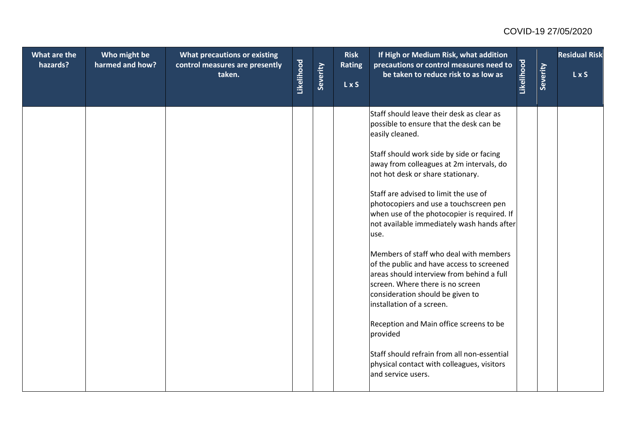| What are the<br>hazards? | Who might be<br>harmed and how? | <b>What precautions or existing</b><br>control measures are presently<br>taken. | Likelihood | Severity | <b>Risk</b><br><b>Rating</b><br>L x S | If High or Medium Risk, what addition<br>precautions or control measures need to<br>be taken to reduce risk to as low as                                                                                                               | Likelihood | Severity | <b>Residual Risk</b><br>LxS |
|--------------------------|---------------------------------|---------------------------------------------------------------------------------|------------|----------|---------------------------------------|----------------------------------------------------------------------------------------------------------------------------------------------------------------------------------------------------------------------------------------|------------|----------|-----------------------------|
|                          |                                 |                                                                                 |            |          |                                       | Staff should leave their desk as clear as<br>possible to ensure that the desk can be<br>easily cleaned.                                                                                                                                |            |          |                             |
|                          |                                 |                                                                                 |            |          |                                       | Staff should work side by side or facing<br>away from colleagues at 2m intervals, do<br>not hot desk or share stationary.                                                                                                              |            |          |                             |
|                          |                                 |                                                                                 |            |          |                                       | Staff are advised to limit the use of<br>photocopiers and use a touchscreen pen<br>when use of the photocopier is required. If<br>not available immediately wash hands after<br>use.                                                   |            |          |                             |
|                          |                                 |                                                                                 |            |          |                                       | Members of staff who deal with members<br>of the public and have access to screened<br>lareas should interview from behind a full<br>screen. Where there is no screen<br>consideration should be given to<br>installation of a screen. |            |          |                             |
|                          |                                 |                                                                                 |            |          |                                       | Reception and Main office screens to be<br>provided                                                                                                                                                                                    |            |          |                             |
|                          |                                 |                                                                                 |            |          |                                       | Staff should refrain from all non-essential<br>physical contact with colleagues, visitors<br>and service users.                                                                                                                        |            |          |                             |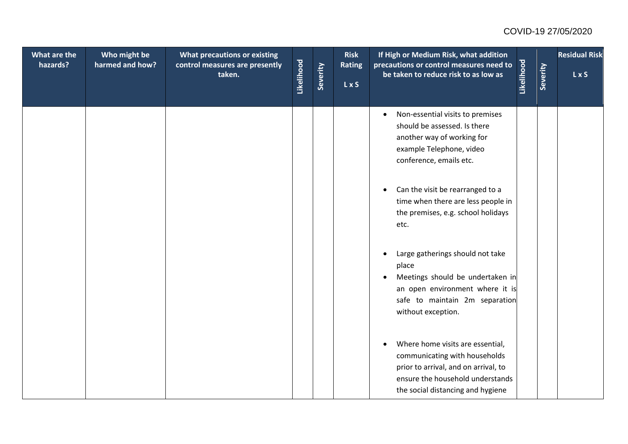| What are the<br>hazards? | Who might be<br>harmed and how? | What precautions or existing<br>control measures are presently<br>taken. | Likelihood | Severity | <b>Risk</b><br><b>Rating</b><br>LxS | If High or Medium Risk, what addition<br>precautions or control measures need to<br>be taken to reduce risk to as low as                                                                        | Likelihood | Severity | <b>Residual Risk</b><br>LxS |
|--------------------------|---------------------------------|--------------------------------------------------------------------------|------------|----------|-------------------------------------|-------------------------------------------------------------------------------------------------------------------------------------------------------------------------------------------------|------------|----------|-----------------------------|
|                          |                                 |                                                                          |            |          |                                     | Non-essential visits to premises<br>$\bullet$<br>should be assessed. Is there<br>another way of working for<br>example Telephone, video<br>conference, emails etc.                              |            |          |                             |
|                          |                                 |                                                                          |            |          |                                     | Can the visit be rearranged to a<br>$\bullet$<br>time when there are less people in<br>the premises, e.g. school holidays<br>etc.                                                               |            |          |                             |
|                          |                                 |                                                                          |            |          |                                     | Large gatherings should not take<br>$\bullet$<br>place<br>Meetings should be undertaken in<br>an open environment where it is<br>safe to maintain 2m separation<br>without exception.           |            |          |                             |
|                          |                                 |                                                                          |            |          |                                     | Where home visits are essential,<br>$\bullet$<br>communicating with households<br>prior to arrival, and on arrival, to<br>ensure the household understands<br>the social distancing and hygiene |            |          |                             |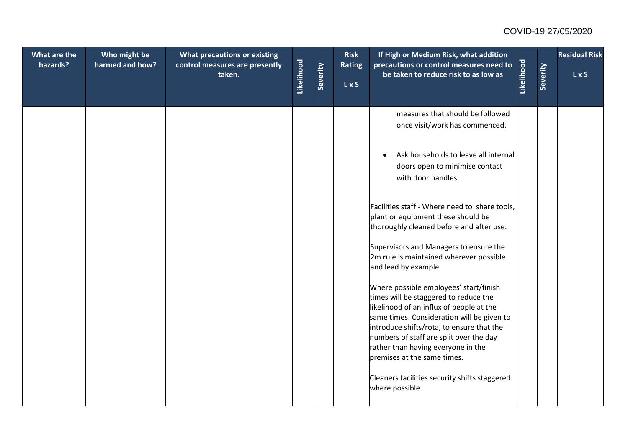| What are the<br>hazards? | Who might be<br>harmed and how? | <b>What precautions or existing</b><br>control measures are presently<br>taken. | Likelihood | Severity | <b>Risk</b><br>Rating<br>L x S | If High or Medium Risk, what addition<br>precautions or control measures need to<br>be taken to reduce risk to as low as                                                                                                                                                                                                               | Likelihood | Severity | <b>Residual Risk</b><br>LxS |
|--------------------------|---------------------------------|---------------------------------------------------------------------------------|------------|----------|--------------------------------|----------------------------------------------------------------------------------------------------------------------------------------------------------------------------------------------------------------------------------------------------------------------------------------------------------------------------------------|------------|----------|-----------------------------|
|                          |                                 |                                                                                 |            |          |                                | measures that should be followed<br>once visit/work has commenced.                                                                                                                                                                                                                                                                     |            |          |                             |
|                          |                                 |                                                                                 |            |          |                                | Ask households to leave all internal<br>$\bullet$<br>doors open to minimise contact<br>with door handles                                                                                                                                                                                                                               |            |          |                             |
|                          |                                 |                                                                                 |            |          |                                | Facilities staff - Where need to share tools,<br>plant or equipment these should be<br>thoroughly cleaned before and after use.                                                                                                                                                                                                        |            |          |                             |
|                          |                                 |                                                                                 |            |          |                                | Supervisors and Managers to ensure the<br>2m rule is maintained wherever possible<br>and lead by example.                                                                                                                                                                                                                              |            |          |                             |
|                          |                                 |                                                                                 |            |          |                                | Where possible employees' start/finish<br>times will be staggered to reduce the<br>likelihood of an influx of people at the<br>same times. Consideration will be given to<br>introduce shifts/rota, to ensure that the<br>numbers of staff are split over the day<br>rather than having everyone in the<br>premises at the same times. |            |          |                             |
|                          |                                 |                                                                                 |            |          |                                | Cleaners facilities security shifts staggered<br>where possible                                                                                                                                                                                                                                                                        |            |          |                             |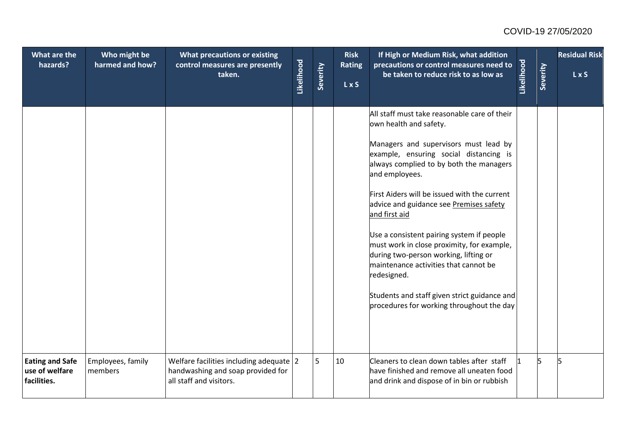| What are the<br>hazards?                                | Who might be<br>harmed and how? | What precautions or existing<br>control measures are presently<br>taken.                                | Likelihood | Severity | <b>Risk</b><br>Rating<br>L x S | If High or Medium Risk, what addition<br>precautions or control measures need to<br>be taken to reduce risk to as low as                                                                                                                                                                                                                                                                                                                                                                                                                                                                                                    | Likelihood | Severity | <b>Residual Risk</b><br>LxS |
|---------------------------------------------------------|---------------------------------|---------------------------------------------------------------------------------------------------------|------------|----------|--------------------------------|-----------------------------------------------------------------------------------------------------------------------------------------------------------------------------------------------------------------------------------------------------------------------------------------------------------------------------------------------------------------------------------------------------------------------------------------------------------------------------------------------------------------------------------------------------------------------------------------------------------------------------|------------|----------|-----------------------------|
|                                                         |                                 |                                                                                                         |            |          |                                | All staff must take reasonable care of their<br>own health and safety.<br>Managers and supervisors must lead by<br>example, ensuring social distancing is<br>always complied to by both the managers<br>and employees.<br>First Aiders will be issued with the current<br>advice and guidance see Premises safety<br>and first aid<br>Use a consistent pairing system if people<br>must work in close proximity, for example,<br>during two-person working, lifting or<br>maintenance activities that cannot be<br>redesigned.<br>Students and staff given strict guidance and<br>procedures for working throughout the day |            |          |                             |
| <b>Eating and Safe</b><br>use of welfare<br>facilities. | Employees, family<br>members    | Welfare facilities including adequate 2<br>handwashing and soap provided for<br>all staff and visitors. |            | 5        | 10                             | Cleaners to clean down tables after staff<br>have finished and remove all uneaten food<br>and drink and dispose of in bin or rubbish                                                                                                                                                                                                                                                                                                                                                                                                                                                                                        |            | 15       |                             |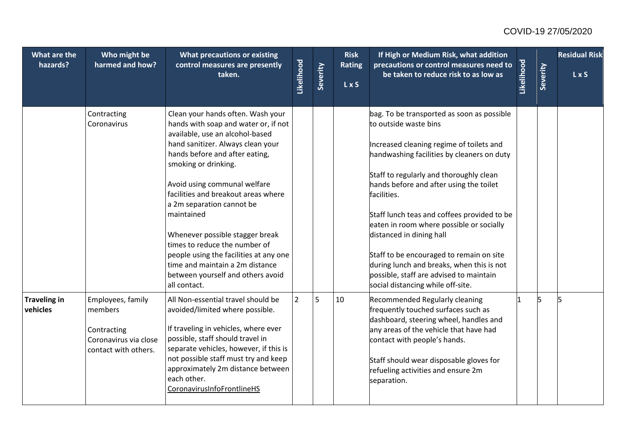| What are the<br>hazards?        | Who might be<br>harmed and how?                                                              | What precautions or existing<br>control measures are presently<br>taken.                                                                                                                                                                                                                                                                                                                                                                                                                                                            | Likelihood     | Severity | <b>Risk</b><br>Rating<br>L x S | If High or Medium Risk, what addition<br>precautions or control measures need to<br>be taken to reduce risk to as low as                                                                                                                                                                                                                                                                                                                                                                                                                                           | Likelihood | Severity | <b>Residual Risk</b><br>L x S |
|---------------------------------|----------------------------------------------------------------------------------------------|-------------------------------------------------------------------------------------------------------------------------------------------------------------------------------------------------------------------------------------------------------------------------------------------------------------------------------------------------------------------------------------------------------------------------------------------------------------------------------------------------------------------------------------|----------------|----------|--------------------------------|--------------------------------------------------------------------------------------------------------------------------------------------------------------------------------------------------------------------------------------------------------------------------------------------------------------------------------------------------------------------------------------------------------------------------------------------------------------------------------------------------------------------------------------------------------------------|------------|----------|-------------------------------|
|                                 | Contracting<br>Coronavirus                                                                   | Clean your hands often. Wash your<br>hands with soap and water or, if not<br>available, use an alcohol-based<br>hand sanitizer. Always clean your<br>hands before and after eating,<br>smoking or drinking.<br>Avoid using communal welfare<br>facilities and breakout areas where<br>a 2m separation cannot be<br>maintained<br>Whenever possible stagger break<br>times to reduce the number of<br>people using the facilities at any one<br>time and maintain a 2m distance<br>between yourself and others avoid<br>all contact. |                |          |                                | bag. To be transported as soon as possible<br>to outside waste bins<br>Increased cleaning regime of toilets and<br>handwashing facilities by cleaners on duty<br>Staff to regularly and thoroughly clean<br>hands before and after using the toilet<br>facilities.<br>Staff lunch teas and coffees provided to be<br>eaten in room where possible or socially<br>distanced in dining hall<br>Staff to be encouraged to remain on site<br>during lunch and breaks, when this is not<br>possible, staff are advised to maintain<br>social distancing while off-site. |            |          |                               |
| <b>Traveling in</b><br>vehicles | Employees, family<br>members<br>Contracting<br>Coronavirus via close<br>contact with others. | All Non-essential travel should be<br>avoided/limited where possible.<br>If traveling in vehicles, where ever<br>possible, staff should travel in<br>separate vehicles, however, if this is<br>not possible staff must try and keep<br>approximately 2m distance between<br>each other.<br>CoronavirusInfoFrontlineHS                                                                                                                                                                                                               | $\overline{2}$ | 5        | 10                             | Recommended Regularly cleaning<br>frequently touched surfaces such as<br>dashboard, steering wheel, handles and<br>any areas of the vehicle that have had<br>contact with people's hands.<br>Staff should wear disposable gloves for<br>refueling activities and ensure 2m<br>separation.                                                                                                                                                                                                                                                                          |            |          | 5                             |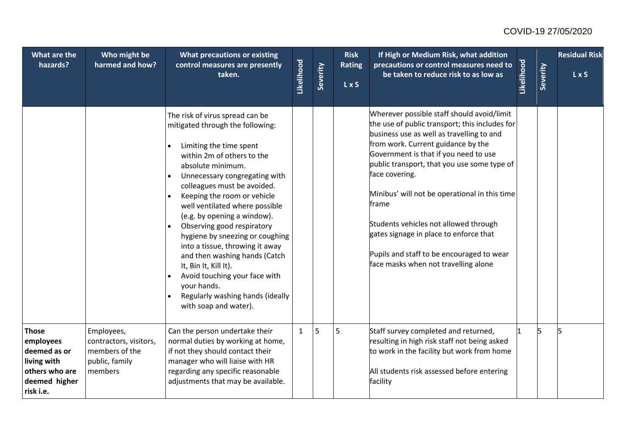| What are the<br>hazards?                                                                                 | Who might be<br>harmed and how?                                                     | What precautions or existing<br>control measures are presently<br>taken.                                                                                                                                                                                                                                                                                                                                                                                                                                                                                                                                  | Likelihood   | Severity | <b>Risk</b><br><b>Rating</b><br>L x S | If High or Medium Risk, what addition<br>precautions or control measures need to<br>be taken to reduce risk to as low as                                                                                                                                                                                                                                                                                                                                                                                                    | Likelihood | Severity | <b>Residual Risk</b><br>LxS |
|----------------------------------------------------------------------------------------------------------|-------------------------------------------------------------------------------------|-----------------------------------------------------------------------------------------------------------------------------------------------------------------------------------------------------------------------------------------------------------------------------------------------------------------------------------------------------------------------------------------------------------------------------------------------------------------------------------------------------------------------------------------------------------------------------------------------------------|--------------|----------|---------------------------------------|-----------------------------------------------------------------------------------------------------------------------------------------------------------------------------------------------------------------------------------------------------------------------------------------------------------------------------------------------------------------------------------------------------------------------------------------------------------------------------------------------------------------------------|------------|----------|-----------------------------|
|                                                                                                          |                                                                                     | The risk of virus spread can be<br>mitigated through the following:<br>Limiting the time spent<br>within 2m of others to the<br>absolute minimum.<br>Unnecessary congregating with<br>$\bullet$<br>colleagues must be avoided.<br>Keeping the room or vehicle<br>well ventilated where possible<br>(e.g. by opening a window).<br>Observing good respiratory<br>hygiene by sneezing or coughing<br>into a tissue, throwing it away<br>and then washing hands (Catch<br>It, Bin It, Kill It).<br>Avoid touching your face with<br>your hands.<br>Regularly washing hands (ideally<br>with soap and water). |              |          |                                       | Wherever possible staff should avoid/limit<br>the use of public transport; this includes for<br>business use as well as travelling to and<br>from work. Current guidance by the<br>Government is that if you need to use<br>public transport, that you use some type of<br>face covering.<br>Minibus' will not be operational in this time<br>frame<br>Students vehicles not allowed through<br>gates signage in place to enforce that<br>Pupils and staff to be encouraged to wear<br>face masks when not travelling alone |            |          |                             |
| <b>Those</b><br>employees<br>deemed as or<br>living with<br>others who are<br>deemed higher<br>risk i.e. | Employees,<br>contractors, visitors,<br>members of the<br>public, family<br>members | Can the person undertake their<br>normal duties by working at home,<br>if not they should contact their<br>manager who will liaise with HR<br>regarding any specific reasonable<br>adjustments that may be available.                                                                                                                                                                                                                                                                                                                                                                                     | $\mathbf{1}$ | 5        | 5                                     | Staff survey completed and returned,<br>resulting in high risk staff not being asked<br>to work in the facility but work from home<br>All students risk assessed before entering<br>facility                                                                                                                                                                                                                                                                                                                                |            |          |                             |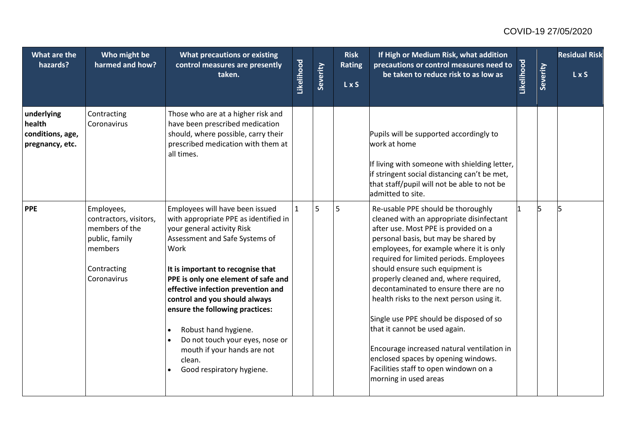| What are the<br>hazards?                                    | Who might be<br>harmed and how?                                                                                   | What precautions or existing<br>control measures are presently<br>taken.                                                                                                                                                                                                                                                                                                                                                                                                | Likelihood   | Severity | <b>Risk</b><br>Rating<br>L x S | If High or Medium Risk, what addition<br>precautions or control measures need to<br>be taken to reduce risk to as low as                                                                                                                                                                                                                                                                                                                                                                                                                                                                                                                                  | Likelihood | Severity | <b>Residual Risk</b><br>L x S |
|-------------------------------------------------------------|-------------------------------------------------------------------------------------------------------------------|-------------------------------------------------------------------------------------------------------------------------------------------------------------------------------------------------------------------------------------------------------------------------------------------------------------------------------------------------------------------------------------------------------------------------------------------------------------------------|--------------|----------|--------------------------------|-----------------------------------------------------------------------------------------------------------------------------------------------------------------------------------------------------------------------------------------------------------------------------------------------------------------------------------------------------------------------------------------------------------------------------------------------------------------------------------------------------------------------------------------------------------------------------------------------------------------------------------------------------------|------------|----------|-------------------------------|
| underlying<br>health<br>conditions, age,<br>pregnancy, etc. | Contracting<br>Coronavirus                                                                                        | Those who are at a higher risk and<br>have been prescribed medication<br>should, where possible, carry their<br>prescribed medication with them at<br>all times.                                                                                                                                                                                                                                                                                                        |              |          |                                | Pupils will be supported accordingly to<br>work at home<br>If living with someone with shielding letter,<br>if stringent social distancing can't be met,<br>that staff/pupil will not be able to not be<br>admitted to site.                                                                                                                                                                                                                                                                                                                                                                                                                              |            |          |                               |
| <b>PPE</b>                                                  | Employees,<br>contractors, visitors,<br>members of the<br>public, family<br>members<br>Contracting<br>Coronavirus | Employees will have been issued<br>with appropriate PPE as identified in<br>your general activity Risk<br>Assessment and Safe Systems of<br>Work<br>It is important to recognise that<br>PPE is only one element of safe and<br>effective infection prevention and<br>control and you should always<br>ensure the following practices:<br>Robust hand hygiene.<br>Do not touch your eyes, nose or<br>mouth if your hands are not<br>clean.<br>Good respiratory hygiene. | $\mathbf{1}$ | 5        | 5                              | Re-usable PPE should be thoroughly<br>cleaned with an appropriate disinfectant<br>after use. Most PPE is provided on a<br>personal basis, but may be shared by<br>employees, for example where it is only<br>required for limited periods. Employees<br>should ensure such equipment is<br>properly cleaned and, where required,<br>decontaminated to ensure there are no<br>health risks to the next person using it.<br>Single use PPE should be disposed of so<br>that it cannot be used again.<br>Encourage increased natural ventilation in<br>enclosed spaces by opening windows.<br>Facilities staff to open windown on a<br>morning in used areas |            |          |                               |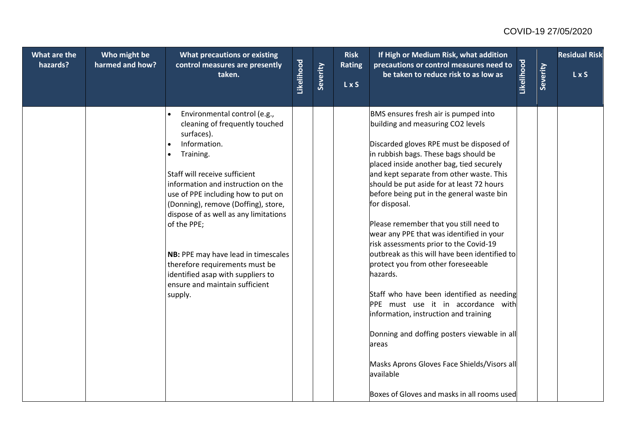| What are the<br>hazards? | Who might be<br>harmed and how? | What precautions or existing<br>control measures are presently<br>taken.                                                                                                                                                                                                                                                                                                                                                                                                                                   | Likelihood | Severity | <b>Risk</b><br><b>Rating</b> | If High or Medium Risk, what addition<br>precautions or control measures need to<br>be taken to reduce risk to as low as                                                                                                                                                                                                                                                                                                                                                                                                                                                                                                                                                                                                                                                                                                                                                                            | Likelihood | Severity | <b>Residual Risk</b><br>L x S |
|--------------------------|---------------------------------|------------------------------------------------------------------------------------------------------------------------------------------------------------------------------------------------------------------------------------------------------------------------------------------------------------------------------------------------------------------------------------------------------------------------------------------------------------------------------------------------------------|------------|----------|------------------------------|-----------------------------------------------------------------------------------------------------------------------------------------------------------------------------------------------------------------------------------------------------------------------------------------------------------------------------------------------------------------------------------------------------------------------------------------------------------------------------------------------------------------------------------------------------------------------------------------------------------------------------------------------------------------------------------------------------------------------------------------------------------------------------------------------------------------------------------------------------------------------------------------------------|------------|----------|-------------------------------|
|                          |                                 |                                                                                                                                                                                                                                                                                                                                                                                                                                                                                                            |            |          | <b>LxS</b>                   |                                                                                                                                                                                                                                                                                                                                                                                                                                                                                                                                                                                                                                                                                                                                                                                                                                                                                                     |            |          |                               |
|                          |                                 | Environmental control (e.g.,<br>$\bullet$<br>cleaning of frequently touched<br>surfaces).<br>Information.<br>Training.<br>$\bullet$<br>Staff will receive sufficient<br>information and instruction on the<br>use of PPE including how to put on<br>(Donning), remove (Doffing), store,<br>dispose of as well as any limitations<br>of the PPE;<br>NB: PPE may have lead in timescales<br>therefore requirements must be<br>identified asap with suppliers to<br>ensure and maintain sufficient<br>supply. |            |          |                              | BMS ensures fresh air is pumped into<br>building and measuring CO2 levels<br>Discarded gloves RPE must be disposed of<br>in rubbish bags. These bags should be<br>placed inside another bag, tied securely<br>and kept separate from other waste. This<br>should be put aside for at least 72 hours<br>before being put in the general waste bin<br>for disposal.<br>Please remember that you still need to<br>wear any PPE that was identified in your<br>risk assessments prior to the Covid-19<br>outbreak as this will have been identified to<br>protect you from other foreseeable<br>hazards.<br>Staff who have been identified as needing<br>PPE must use it in accordance with<br>information, instruction and training<br>Donning and doffing posters viewable in all<br>areas<br>Masks Aprons Gloves Face Shields/Visors all<br>available<br>Boxes of Gloves and masks in all rooms used |            |          |                               |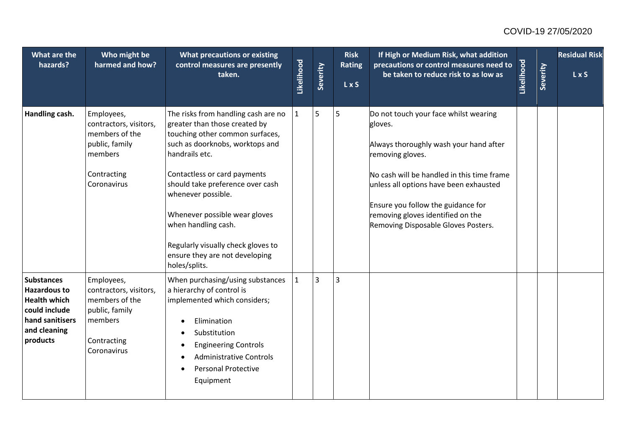| What are the<br>hazards?                                                                                                        | Who might be<br>harmed and how?                                                                                   | What precautions or existing<br>control measures are presently<br>taken.                                                                                                                                                                                                                                                                                                                                | Likelihood   | Severity       | <b>Risk</b><br><b>Rating</b><br>L x S | If High or Medium Risk, what addition<br>precautions or control measures need to<br>be taken to reduce risk to as low as                                                                                                                                                                                                 | Likelihood | Severity | <b>Residual Risk</b><br>LxS |
|---------------------------------------------------------------------------------------------------------------------------------|-------------------------------------------------------------------------------------------------------------------|---------------------------------------------------------------------------------------------------------------------------------------------------------------------------------------------------------------------------------------------------------------------------------------------------------------------------------------------------------------------------------------------------------|--------------|----------------|---------------------------------------|--------------------------------------------------------------------------------------------------------------------------------------------------------------------------------------------------------------------------------------------------------------------------------------------------------------------------|------------|----------|-----------------------------|
| Handling cash.                                                                                                                  | Employees,<br>contractors, visitors,<br>members of the<br>public, family<br>members<br>Contracting<br>Coronavirus | The risks from handling cash are no<br>greater than those created by<br>touching other common surfaces,<br>such as doorknobs, worktops and<br>handrails etc.<br>Contactless or card payments<br>should take preference over cash<br>whenever possible.<br>Whenever possible wear gloves<br>when handling cash.<br>Regularly visually check gloves to<br>ensure they are not developing<br>holes/splits. | $\mathbf{1}$ | 5              | 5                                     | Do not touch your face whilst wearing<br>gloves.<br>Always thoroughly wash your hand after<br>removing gloves.<br>No cash will be handled in this time frame<br>unless all options have been exhausted<br>Ensure you follow the guidance for<br>removing gloves identified on the<br>Removing Disposable Gloves Posters. |            |          |                             |
| <b>Substances</b><br><b>Hazardous to</b><br><b>Health which</b><br>could include<br>hand sanitisers<br>and cleaning<br>products | Employees,<br>contractors, visitors,<br>members of the<br>public, family<br>members<br>Contracting<br>Coronavirus | When purchasing/using substances<br>a hierarchy of control is<br>implemented which considers;<br>Elimination<br>Substitution<br><b>Engineering Controls</b><br><b>Administrative Controls</b><br><b>Personal Protective</b><br>٠<br>Equipment                                                                                                                                                           | $\mathbf{1}$ | $\overline{3}$ | 3                                     |                                                                                                                                                                                                                                                                                                                          |            |          |                             |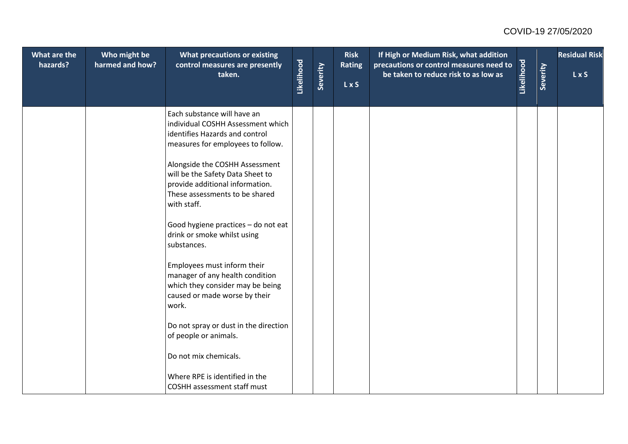| What are the<br>hazards? | Who might be<br>harmed and how? | What precautions or existing<br>control measures are presently<br>taken.                                                                               | Likelihood | Severity | <b>Risk</b><br><b>Rating</b><br><b>LxS</b> | If High or Medium Risk, what addition<br>precautions or control measures need to<br>be taken to reduce risk to as low as | Likelihood | Severity | <b>Residual Risk</b><br>LxS |
|--------------------------|---------------------------------|--------------------------------------------------------------------------------------------------------------------------------------------------------|------------|----------|--------------------------------------------|--------------------------------------------------------------------------------------------------------------------------|------------|----------|-----------------------------|
|                          |                                 | Each substance will have an<br>individual COSHH Assessment which<br>identifies Hazards and control<br>measures for employees to follow.                |            |          |                                            |                                                                                                                          |            |          |                             |
|                          |                                 | Alongside the COSHH Assessment<br>will be the Safety Data Sheet to<br>provide additional information.<br>These assessments to be shared<br>with staff. |            |          |                                            |                                                                                                                          |            |          |                             |
|                          |                                 | Good hygiene practices - do not eat<br>drink or smoke whilst using<br>substances.                                                                      |            |          |                                            |                                                                                                                          |            |          |                             |
|                          |                                 | Employees must inform their<br>manager of any health condition<br>which they consider may be being<br>caused or made worse by their<br>work.           |            |          |                                            |                                                                                                                          |            |          |                             |
|                          |                                 | Do not spray or dust in the direction<br>of people or animals.                                                                                         |            |          |                                            |                                                                                                                          |            |          |                             |
|                          |                                 | Do not mix chemicals.                                                                                                                                  |            |          |                                            |                                                                                                                          |            |          |                             |
|                          |                                 | Where RPE is identified in the<br>COSHH assessment staff must                                                                                          |            |          |                                            |                                                                                                                          |            |          |                             |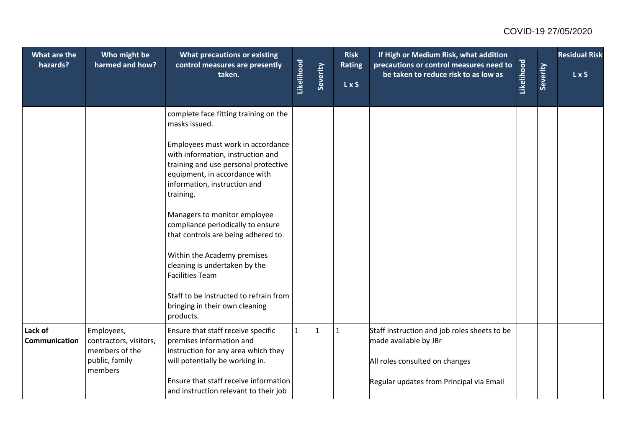| What are the<br>hazards? | Who might be<br>harmed and how?                                          | What precautions or existing<br>control measures are presently<br>taken.                                                                                                                     | Likelihood   | Severity     | <b>Risk</b><br><b>Rating</b><br>L x S | If High or Medium Risk, what addition<br>precautions or control measures need to<br>be taken to reduce risk to as low as | Likelihood | Severity | <b>Residual Risk</b><br>L x S |
|--------------------------|--------------------------------------------------------------------------|----------------------------------------------------------------------------------------------------------------------------------------------------------------------------------------------|--------------|--------------|---------------------------------------|--------------------------------------------------------------------------------------------------------------------------|------------|----------|-------------------------------|
|                          |                                                                          | complete face fitting training on the<br>masks issued.                                                                                                                                       |              |              |                                       |                                                                                                                          |            |          |                               |
|                          |                                                                          | Employees must work in accordance<br>with information, instruction and<br>training and use personal protective<br>equipment, in accordance with<br>information, instruction and<br>training. |              |              |                                       |                                                                                                                          |            |          |                               |
|                          |                                                                          | Managers to monitor employee<br>compliance periodically to ensure<br>that controls are being adhered to.                                                                                     |              |              |                                       |                                                                                                                          |            |          |                               |
|                          |                                                                          | Within the Academy premises<br>cleaning is undertaken by the<br><b>Facilities Team</b>                                                                                                       |              |              |                                       |                                                                                                                          |            |          |                               |
|                          |                                                                          | Staff to be instructed to refrain from<br>bringing in their own cleaning<br>products.                                                                                                        |              |              |                                       |                                                                                                                          |            |          |                               |
| Lack of<br>Communication | Employees,<br>contractors, visitors,<br>members of the<br>public, family | Ensure that staff receive specific<br>premises information and<br>instruction for any area which they<br>will potentially be working in.                                                     | $\mathbf{1}$ | $\mathbf{1}$ | $\mathbf{1}$                          | Staff instruction and job roles sheets to be<br>made available by JBr<br>All roles consulted on changes                  |            |          |                               |
|                          | members                                                                  | Ensure that staff receive information<br>and instruction relevant to their job                                                                                                               |              |              |                                       | Regular updates from Principal via Email                                                                                 |            |          |                               |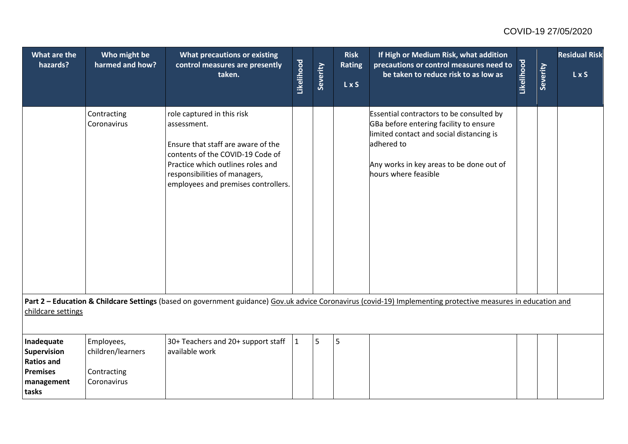| <b>What are the</b><br>hazards?                                                          | Who might be<br>harmed and how?                               | What precautions or existing<br>control measures are presently<br>taken.                                                                                                                                                         | Likelihood   | Severity | <b>Risk</b><br><b>Rating</b><br>L x S | If High or Medium Risk, what addition<br>precautions or control measures need to<br>be taken to reduce risk to as low as                                                                                         | Likelihood | Severity | <b>Residual Risk</b><br>LxS |
|------------------------------------------------------------------------------------------|---------------------------------------------------------------|----------------------------------------------------------------------------------------------------------------------------------------------------------------------------------------------------------------------------------|--------------|----------|---------------------------------------|------------------------------------------------------------------------------------------------------------------------------------------------------------------------------------------------------------------|------------|----------|-----------------------------|
|                                                                                          | Contracting<br>Coronavirus                                    | role captured in this risk<br>assessment.<br>Ensure that staff are aware of the<br>contents of the COVID-19 Code of<br>Practice which outlines roles and<br>responsibilities of managers,<br>employees and premises controllers. |              |          |                                       | Essential contractors to be consulted by<br>GBa before entering facility to ensure<br>limited contact and social distancing is<br>adhered to<br>Any works in key areas to be done out of<br>hours where feasible |            |          |                             |
| childcare settings                                                                       |                                                               |                                                                                                                                                                                                                                  |              |          |                                       | Part 2 - Education & Childcare Settings (based on government guidance) Gov.uk advice Coronavirus (covid-19) Implementing protective measures in education and                                                    |            |          |                             |
| Inadequate<br>Supervision<br><b>Ratios and</b><br><b>Premises</b><br>management<br>tasks | Employees,<br>children/learners<br>Contracting<br>Coronavirus | 30+ Teachers and 20+ support staff<br>available work                                                                                                                                                                             | $\mathbf{1}$ | 5        | 5                                     |                                                                                                                                                                                                                  |            |          |                             |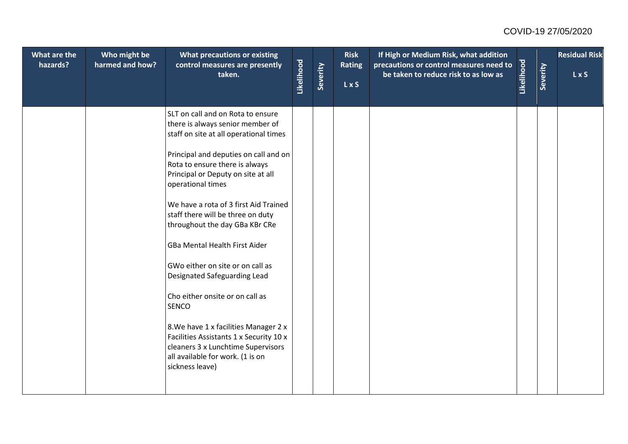| What are the<br>hazards? | Who might be<br>harmed and how? | What precautions or existing<br>control measures are presently<br>taken.                                                                                                      | Likelihood | Severity | <b>Risk</b><br><b>Rating</b><br>L x S | If High or Medium Risk, what addition<br>precautions or control measures need to<br>be taken to reduce risk to as low as | Likelihood | Severity | <b>Residual Risk</b><br>$\overline{L}$ x S |
|--------------------------|---------------------------------|-------------------------------------------------------------------------------------------------------------------------------------------------------------------------------|------------|----------|---------------------------------------|--------------------------------------------------------------------------------------------------------------------------|------------|----------|--------------------------------------------|
|                          |                                 | SLT on call and on Rota to ensure<br>there is always senior member of<br>staff on site at all operational times                                                               |            |          |                                       |                                                                                                                          |            |          |                                            |
|                          |                                 | Principal and deputies on call and on<br>Rota to ensure there is always<br>Principal or Deputy on site at all<br>operational times                                            |            |          |                                       |                                                                                                                          |            |          |                                            |
|                          |                                 | We have a rota of 3 first Aid Trained<br>staff there will be three on duty<br>throughout the day GBa KBr CRe                                                                  |            |          |                                       |                                                                                                                          |            |          |                                            |
|                          |                                 | GBa Mental Health First Aider                                                                                                                                                 |            |          |                                       |                                                                                                                          |            |          |                                            |
|                          |                                 | GWo either on site or on call as<br>Designated Safeguarding Lead                                                                                                              |            |          |                                       |                                                                                                                          |            |          |                                            |
|                          |                                 | Cho either onsite or on call as<br>SENCO                                                                                                                                      |            |          |                                       |                                                                                                                          |            |          |                                            |
|                          |                                 | 8. We have 1 x facilities Manager 2 x<br>Facilities Assistants 1 x Security 10 x<br>cleaners 3 x Lunchtime Supervisors<br>all available for work. (1 is on<br>sickness leave) |            |          |                                       |                                                                                                                          |            |          |                                            |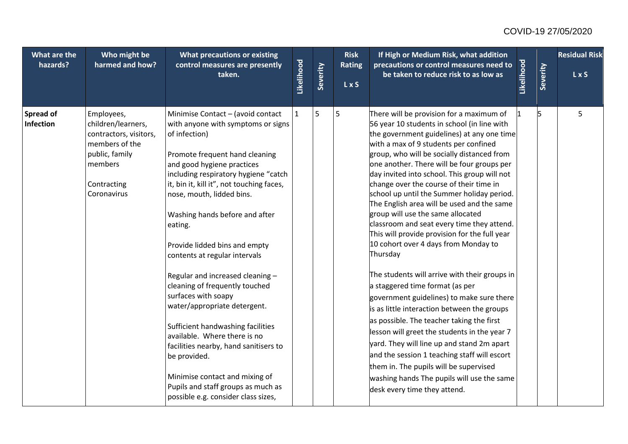| What are the<br>hazards?      | Who might be<br>harmed and how?                                                                                                         | What precautions or existing<br>control measures are presently<br>taken.                                                                                                                                                                                                                                                                                                                                                                                                                                                                                                                                                                                                                                                                                            | Likelihood   | Severity | <b>Risk</b><br><b>Rating</b><br>L x S | If High or Medium Risk, what addition<br>precautions or control measures need to<br>be taken to reduce risk to as low as                                                                                                                                                                                                                                                                                                                                                                                                                                                                                                                                                                                                                                                                                                                                                                                                                                                                                                                                                                                                                                     | Likelihood | Severity | <b>Residual Risk</b><br>L x S |
|-------------------------------|-----------------------------------------------------------------------------------------------------------------------------------------|---------------------------------------------------------------------------------------------------------------------------------------------------------------------------------------------------------------------------------------------------------------------------------------------------------------------------------------------------------------------------------------------------------------------------------------------------------------------------------------------------------------------------------------------------------------------------------------------------------------------------------------------------------------------------------------------------------------------------------------------------------------------|--------------|----------|---------------------------------------|--------------------------------------------------------------------------------------------------------------------------------------------------------------------------------------------------------------------------------------------------------------------------------------------------------------------------------------------------------------------------------------------------------------------------------------------------------------------------------------------------------------------------------------------------------------------------------------------------------------------------------------------------------------------------------------------------------------------------------------------------------------------------------------------------------------------------------------------------------------------------------------------------------------------------------------------------------------------------------------------------------------------------------------------------------------------------------------------------------------------------------------------------------------|------------|----------|-------------------------------|
| <b>Spread of</b><br>Infection | Employees,<br>children/learners,<br>contractors, visitors,<br>members of the<br>public, family<br>members<br>Contracting<br>Coronavirus | Minimise Contact - (avoid contact<br>with anyone with symptoms or signs<br>of infection)<br>Promote frequent hand cleaning<br>and good hygiene practices<br>including respiratory hygiene "catch<br>it, bin it, kill it", not touching faces,<br>nose, mouth, lidded bins.<br>Washing hands before and after<br>eating.<br>Provide lidded bins and empty<br>contents at regular intervals<br>Regular and increased cleaning -<br>cleaning of frequently touched<br>surfaces with soapy<br>water/appropriate detergent.<br>Sufficient handwashing facilities<br>available. Where there is no<br>facilities nearby, hand sanitisers to<br>be provided.<br>Minimise contact and mixing of<br>Pupils and staff groups as much as<br>possible e.g. consider class sizes, | $\mathbf{1}$ | 5        | 5                                     | There will be provision for a maximum of<br>56 year 10 students in school (in line with<br>the government guidelines) at any one time<br>with a max of 9 students per confined<br>group, who will be socially distanced from<br>one another. There will be four groups per<br>day invited into school. This group will not<br>change over the course of their time in<br>school up until the Summer holiday period.<br>The English area will be used and the same<br>group will use the same allocated<br>classroom and seat every time they attend.<br>This will provide provision for the full year<br>10 cohort over 4 days from Monday to<br>Thursday<br>The students will arrive with their groups in<br>a staggered time format (as per<br>government guidelines) to make sure there<br>is as little interaction between the groups<br>as possible. The teacher taking the first<br>lesson will greet the students in the year 7<br>yard. They will line up and stand 2m apart<br>and the session 1 teaching staff will escort<br>them in. The pupils will be supervised<br>washing hands The pupils will use the same<br>desk every time they attend. | 11         |          | 5                             |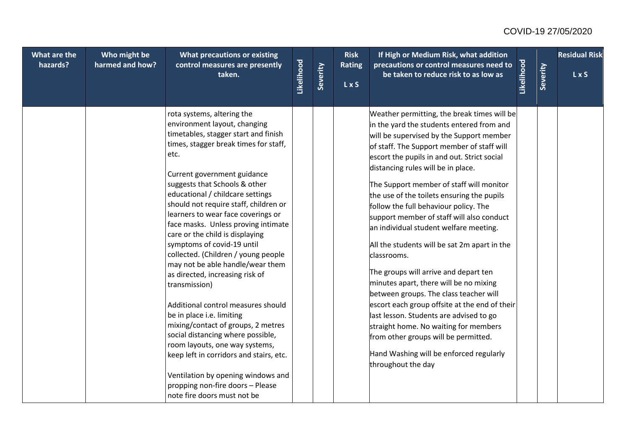| What are the<br>hazards? | Who might be<br>harmed and how? | What precautions or existing<br>control measures are presently                                                                                                                                                                                                                                                                                                                                                                                                                                                                                                                                                                                                                                                                                                                                                                                                                                                    |            |          | <b>Risk</b><br><b>Rating</b> | If High or Medium Risk, what addition<br>precautions or control measures need to                                                                                                                                                                                                                                                                                                                                                                                                                                                                                                                                                                                                                                                                                                                                                                                                                                                            |            |          | <b>Residual Risk</b> |
|--------------------------|---------------------------------|-------------------------------------------------------------------------------------------------------------------------------------------------------------------------------------------------------------------------------------------------------------------------------------------------------------------------------------------------------------------------------------------------------------------------------------------------------------------------------------------------------------------------------------------------------------------------------------------------------------------------------------------------------------------------------------------------------------------------------------------------------------------------------------------------------------------------------------------------------------------------------------------------------------------|------------|----------|------------------------------|---------------------------------------------------------------------------------------------------------------------------------------------------------------------------------------------------------------------------------------------------------------------------------------------------------------------------------------------------------------------------------------------------------------------------------------------------------------------------------------------------------------------------------------------------------------------------------------------------------------------------------------------------------------------------------------------------------------------------------------------------------------------------------------------------------------------------------------------------------------------------------------------------------------------------------------------|------------|----------|----------------------|
|                          |                                 | taken.                                                                                                                                                                                                                                                                                                                                                                                                                                                                                                                                                                                                                                                                                                                                                                                                                                                                                                            | Likelihood | Severity | <b>LxS</b>                   | be taken to reduce risk to as low as                                                                                                                                                                                                                                                                                                                                                                                                                                                                                                                                                                                                                                                                                                                                                                                                                                                                                                        | Likelihood | Severity | LxS                  |
|                          |                                 | rota systems, altering the<br>environment layout, changing<br>timetables, stagger start and finish<br>times, stagger break times for staff,<br>etc.<br>Current government guidance<br>suggests that Schools & other<br>educational / childcare settings<br>should not require staff, children or<br>learners to wear face coverings or<br>face masks. Unless proving intimate<br>care or the child is displaying<br>symptoms of covid-19 until<br>collected. (Children / young people<br>may not be able handle/wear them<br>as directed, increasing risk of<br>transmission)<br>Additional control measures should<br>be in place i.e. limiting<br>mixing/contact of groups, 2 metres<br>social distancing where possible,<br>room layouts, one way systems,<br>keep left in corridors and stairs, etc.<br>Ventilation by opening windows and<br>propping non-fire doors - Please<br>note fire doors must not be |            |          |                              | Weather permitting, the break times will be<br>in the yard the students entered from and<br>will be supervised by the Support member<br>of staff. The Support member of staff will<br>escort the pupils in and out. Strict social<br>distancing rules will be in place.<br>The Support member of staff will monitor<br>the use of the toilets ensuring the pupils<br>follow the full behaviour policy. The<br>support member of staff will also conduct<br>an individual student welfare meeting.<br>All the students will be sat 2m apart in the<br>classrooms.<br>The groups will arrive and depart ten<br>minutes apart, there will be no mixing<br>between groups. The class teacher will<br>escort each group offsite at the end of their<br>last lesson. Students are advised to go<br>straight home. No waiting for members<br>from other groups will be permitted.<br>Hand Washing will be enforced regularly<br>throughout the day |            |          |                      |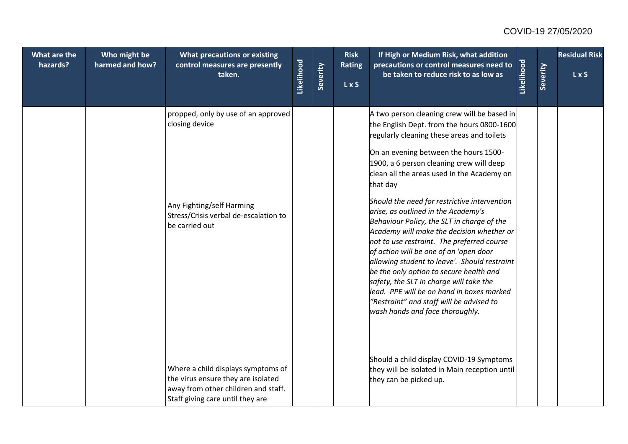| What are the<br>hazards? | Who might be<br>harmed and how? | What precautions or existing<br>control measures are presently<br>taken.                                                                            | Likelihood | Severity | <b>Risk</b><br>Rating<br>L x S | If High or Medium Risk, what addition<br>precautions or control measures need to<br>be taken to reduce risk to as low as                                                                                                                                                                                                                                                                                                                                                                                                                                                                                                                                                                                                                                                                                                           | Likelihood | Severity | <b>Residual Risk</b><br>L x S |
|--------------------------|---------------------------------|-----------------------------------------------------------------------------------------------------------------------------------------------------|------------|----------|--------------------------------|------------------------------------------------------------------------------------------------------------------------------------------------------------------------------------------------------------------------------------------------------------------------------------------------------------------------------------------------------------------------------------------------------------------------------------------------------------------------------------------------------------------------------------------------------------------------------------------------------------------------------------------------------------------------------------------------------------------------------------------------------------------------------------------------------------------------------------|------------|----------|-------------------------------|
|                          |                                 | propped, only by use of an approved<br>closing device<br>Any Fighting/self Harming<br>Stress/Crisis verbal de-escalation to<br>be carried out       |            |          |                                | A two person cleaning crew will be based in<br>the English Dept. from the hours 0800-1600<br>regularly cleaning these areas and toilets<br>On an evening between the hours 1500-<br>1900, a 6 person cleaning crew will deep<br>clean all the areas used in the Academy on<br>that day<br>Should the need for restrictive intervention<br>arise, as outlined in the Academy's<br>Behaviour Policy, the SLT in charge of the<br>Academy will make the decision whether or<br>not to use restraint. The preferred course<br>of action will be one of an 'open door<br>allowing student to leave'. Should restraint<br>be the only option to secure health and<br>safety, the SLT in charge will take the<br>lead. PPE will be on hand in boxes marked<br>"Restraint" and staff will be advised to<br>wash hands and face thoroughly. |            |          |                               |
|                          |                                 | Where a child displays symptoms of<br>the virus ensure they are isolated<br>away from other children and staff.<br>Staff giving care until they are |            |          |                                | Should a child display COVID-19 Symptoms<br>they will be isolated in Main reception until<br>they can be picked up.                                                                                                                                                                                                                                                                                                                                                                                                                                                                                                                                                                                                                                                                                                                |            |          |                               |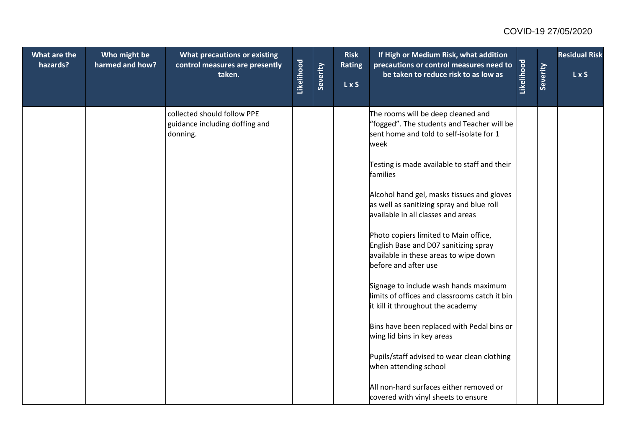| What are the | Who might be    | <b>What precautions or existing</b>                                       |            |          | <b>Risk</b>                 | If High or Medium Risk, what addition                                                                                                           |            |          | <b>Residual Risk</b> |
|--------------|-----------------|---------------------------------------------------------------------------|------------|----------|-----------------------------|-------------------------------------------------------------------------------------------------------------------------------------------------|------------|----------|----------------------|
| hazards?     | harmed and how? | control measures are presently<br>taken.                                  | Likelihood | Severity | <b>Rating</b><br><b>LxS</b> | precautions or control measures need to<br>be taken to reduce risk to as low as                                                                 | Likelihood | Severity | LxS                  |
|              |                 | collected should follow PPE<br>guidance including doffing and<br>donning. |            |          |                             | The rooms will be deep cleaned and<br>"fogged". The students and Teacher will be<br>sent home and told to self-isolate for 1<br>week            |            |          |                      |
|              |                 |                                                                           |            |          |                             | Testing is made available to staff and their<br>families                                                                                        |            |          |                      |
|              |                 |                                                                           |            |          |                             | Alcohol hand gel, masks tissues and gloves<br>as well as sanitizing spray and blue roll<br>available in all classes and areas                   |            |          |                      |
|              |                 |                                                                           |            |          |                             | Photo copiers limited to Main office,<br>English Base and D07 sanitizing spray<br>available in these areas to wipe down<br>before and after use |            |          |                      |
|              |                 |                                                                           |            |          |                             | Signage to include wash hands maximum<br>limits of offices and classrooms catch it bin<br>it kill it throughout the academy                     |            |          |                      |
|              |                 |                                                                           |            |          |                             | Bins have been replaced with Pedal bins or<br>wing lid bins in key areas                                                                        |            |          |                      |
|              |                 |                                                                           |            |          |                             | Pupils/staff advised to wear clean clothing<br>when attending school                                                                            |            |          |                      |
|              |                 |                                                                           |            |          |                             | All non-hard surfaces either removed or<br>covered with vinyl sheets to ensure                                                                  |            |          |                      |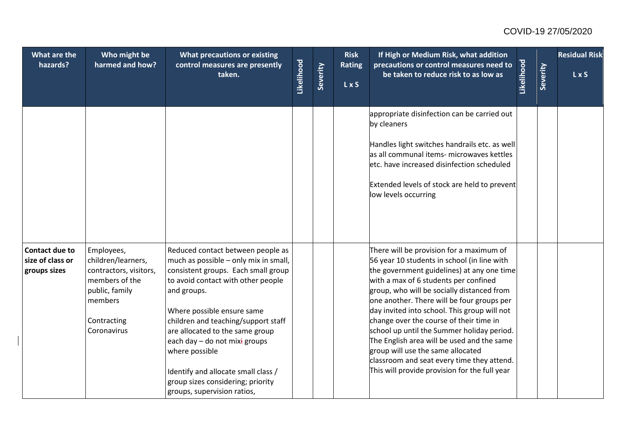| What are the<br>hazards?                                  | Who might be<br>harmed and how?                                                                                                         | <b>What precautions or existing</b><br>control measures are presently<br>taken.                                                                                                                                                                                                                                                                                                                                                              | Likelihood | Severity | <b>Risk</b><br>Rating<br>L x S | If High or Medium Risk, what addition<br>precautions or control measures need to<br>be taken to reduce risk to as low as                                                                                                                                                                                                                                                                                                                                                                                                                                                                              | Likelihood | Severity | <b>Residual Risk</b><br>L x S |
|-----------------------------------------------------------|-----------------------------------------------------------------------------------------------------------------------------------------|----------------------------------------------------------------------------------------------------------------------------------------------------------------------------------------------------------------------------------------------------------------------------------------------------------------------------------------------------------------------------------------------------------------------------------------------|------------|----------|--------------------------------|-------------------------------------------------------------------------------------------------------------------------------------------------------------------------------------------------------------------------------------------------------------------------------------------------------------------------------------------------------------------------------------------------------------------------------------------------------------------------------------------------------------------------------------------------------------------------------------------------------|------------|----------|-------------------------------|
|                                                           |                                                                                                                                         |                                                                                                                                                                                                                                                                                                                                                                                                                                              |            |          |                                | appropriate disinfection can be carried out<br>by cleaners<br>Handles light switches handrails etc. as well<br>as all communal items- microwaves kettles<br>letc. have increased disinfection scheduled<br>Extended levels of stock are held to prevent<br>low levels occurring                                                                                                                                                                                                                                                                                                                       |            |          |                               |
| <b>Contact due to</b><br>size of class or<br>groups sizes | Employees,<br>children/learners,<br>contractors, visitors,<br>members of the<br>public, family<br>members<br>Contracting<br>Coronavirus | Reduced contact between people as<br>much as possible - only mix in small,<br>consistent groups. Each small group<br>to avoid contact with other people<br>and groups.<br>Where possible ensure same<br>children and teaching/support staff<br>are allocated to the same group<br>each day - do not mixi groups<br>where possible<br>Identify and allocate small class /<br>group sizes considering; priority<br>groups, supervision ratios, |            |          |                                | There will be provision for a maximum of<br>56 year 10 students in school (in line with<br>the government guidelines) at any one time<br>with a max of 6 students per confined<br>group, who will be socially distanced from<br>one another. There will be four groups per<br>day invited into school. This group will not<br>change over the course of their time in<br>school up until the Summer holiday period.<br>The English area will be used and the same<br>group will use the same allocated<br>classroom and seat every time they attend.<br>This will provide provision for the full year |            |          |                               |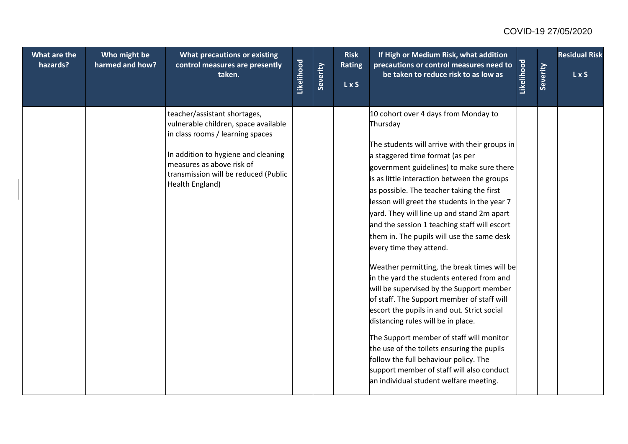| What are the<br>hazards? | Who might be<br>harmed and how? | What precautions or existing<br>control measures are presently<br>taken.                                                                                                                                                                | Likelihood | Severity | <b>Risk</b><br><b>Rating</b><br>L x S | If High or Medium Risk, what addition<br>precautions or control measures need to<br>be taken to reduce risk to as low as                                                                                                                                                                                                                                                                                                                                                                                                                                                                                                                                                                                                                                                                                                                                                                                                                                                                                  | Likelihood | Severity | <b>Residual Risk</b><br><b>LxS</b> |
|--------------------------|---------------------------------|-----------------------------------------------------------------------------------------------------------------------------------------------------------------------------------------------------------------------------------------|------------|----------|---------------------------------------|-----------------------------------------------------------------------------------------------------------------------------------------------------------------------------------------------------------------------------------------------------------------------------------------------------------------------------------------------------------------------------------------------------------------------------------------------------------------------------------------------------------------------------------------------------------------------------------------------------------------------------------------------------------------------------------------------------------------------------------------------------------------------------------------------------------------------------------------------------------------------------------------------------------------------------------------------------------------------------------------------------------|------------|----------|------------------------------------|
|                          |                                 | teacher/assistant shortages,<br>vulnerable children, space available<br>in class rooms / learning spaces<br>In addition to hygiene and cleaning<br>measures as above risk of<br>transmission will be reduced (Public<br>Health England) |            |          |                                       | 10 cohort over 4 days from Monday to<br>Thursday<br>The students will arrive with their groups in<br>a staggered time format (as per<br>government guidelines) to make sure there<br>is as little interaction between the groups<br>as possible. The teacher taking the first<br>lesson will greet the students in the year 7<br>yard. They will line up and stand 2m apart<br>and the session 1 teaching staff will escort<br>them in. The pupils will use the same desk<br>every time they attend.<br>Weather permitting, the break times will be<br>in the yard the students entered from and<br>will be supervised by the Support member<br>of staff. The Support member of staff will<br>escort the pupils in and out. Strict social<br>distancing rules will be in place.<br>The Support member of staff will monitor<br>the use of the toilets ensuring the pupils<br>follow the full behaviour policy. The<br>support member of staff will also conduct<br>an individual student welfare meeting. |            |          |                                    |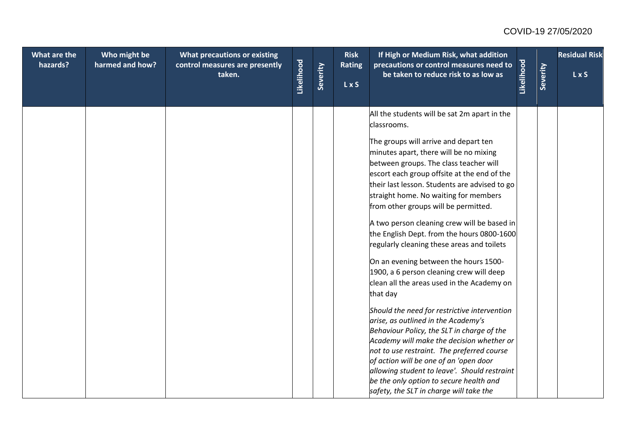| What are the<br>hazards? | Who might be<br>harmed and how? | What precautions or existing<br>control measures are presently<br>taken. | Likelihood | Severity | <b>Risk</b><br><b>Rating</b><br>L x S | If High or Medium Risk, what addition<br>precautions or control measures need to<br>be taken to reduce risk to as low as                                                                                                                                                                                                                                                                                                                                                                                                                                                                                                                                                                                                                                                                                                                                                                                                                                                                                                                                                            | Likelihood | Severity | <b>Residual Risk</b><br>L x S |
|--------------------------|---------------------------------|--------------------------------------------------------------------------|------------|----------|---------------------------------------|-------------------------------------------------------------------------------------------------------------------------------------------------------------------------------------------------------------------------------------------------------------------------------------------------------------------------------------------------------------------------------------------------------------------------------------------------------------------------------------------------------------------------------------------------------------------------------------------------------------------------------------------------------------------------------------------------------------------------------------------------------------------------------------------------------------------------------------------------------------------------------------------------------------------------------------------------------------------------------------------------------------------------------------------------------------------------------------|------------|----------|-------------------------------|
|                          |                                 |                                                                          |            |          |                                       | All the students will be sat 2m apart in the<br>classrooms.<br>The groups will arrive and depart ten<br>minutes apart, there will be no mixing<br>between groups. The class teacher will<br>escort each group offsite at the end of the<br>their last lesson. Students are advised to go<br>straight home. No waiting for members<br>from other groups will be permitted.<br>A two person cleaning crew will be based in<br>the English Dept. from the hours 0800-1600<br>regularly cleaning these areas and toilets<br>On an evening between the hours 1500-<br>1900, a 6 person cleaning crew will deep<br>clean all the areas used in the Academy on<br>that day<br>Should the need for restrictive intervention<br>arise, as outlined in the Academy's<br>Behaviour Policy, the SLT in charge of the<br>Academy will make the decision whether or<br>not to use restraint. The preferred course<br>of action will be one of an 'open door<br>allowing student to leave'. Should restraint<br>be the only option to secure health and<br>safety, the SLT in charge will take the |            |          |                               |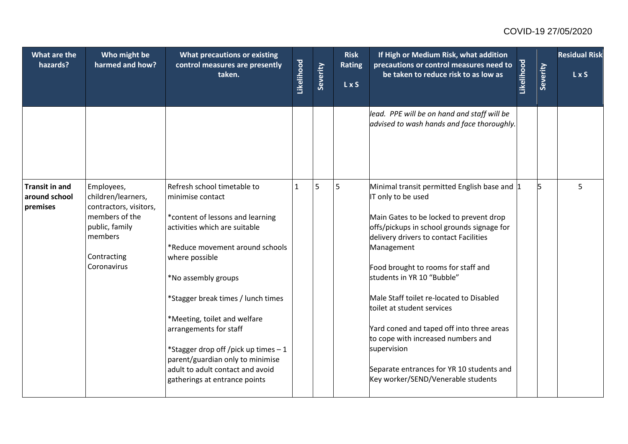| What are the<br>hazards?                           | Who might be<br>harmed and how?                                                                                                         | What precautions or existing<br>control measures are presently<br>taken.                                                                                                                                                                                                                                                                                                                                                                         | Likelihood   | Severity | <b>Risk</b><br><b>Rating</b><br>L x S | If High or Medium Risk, what addition<br>precautions or control measures need to<br>be taken to reduce risk to as low as                                                                                                                                                                                                                                                                                                                                                                                                                                | Likelihood | Severity | <b>Residual Risk</b><br>L x S |
|----------------------------------------------------|-----------------------------------------------------------------------------------------------------------------------------------------|--------------------------------------------------------------------------------------------------------------------------------------------------------------------------------------------------------------------------------------------------------------------------------------------------------------------------------------------------------------------------------------------------------------------------------------------------|--------------|----------|---------------------------------------|---------------------------------------------------------------------------------------------------------------------------------------------------------------------------------------------------------------------------------------------------------------------------------------------------------------------------------------------------------------------------------------------------------------------------------------------------------------------------------------------------------------------------------------------------------|------------|----------|-------------------------------|
|                                                    |                                                                                                                                         |                                                                                                                                                                                                                                                                                                                                                                                                                                                  |              |          |                                       | lead. PPE will be on hand and staff will be<br>advised to wash hands and face thoroughly.                                                                                                                                                                                                                                                                                                                                                                                                                                                               |            |          |                               |
| <b>Transit in and</b><br>around school<br>premises | Employees,<br>children/learners,<br>contractors, visitors,<br>members of the<br>public, family<br>members<br>Contracting<br>Coronavirus | Refresh school timetable to<br>minimise contact<br>*content of lessons and learning<br>activities which are suitable<br>*Reduce movement around schools<br>where possible<br>*No assembly groups<br>*Stagger break times / lunch times<br>*Meeting, toilet and welfare<br>arrangements for staff<br>*Stagger drop off/pick up times - 1<br>parent/guardian only to minimise<br>adult to adult contact and avoid<br>gatherings at entrance points | $\mathbf{1}$ | 5        | 5                                     | Minimal transit permitted English base and 1<br>IT only to be used<br>Main Gates to be locked to prevent drop<br>offs/pickups in school grounds signage for<br>delivery drivers to contact Facilities<br>Management<br>Food brought to rooms for staff and<br>students in YR 10 "Bubble"<br>Male Staff toilet re-located to Disabled<br>toilet at student services<br>Yard coned and taped off into three areas<br>to cope with increased numbers and<br>supervision<br>Separate entrances for YR 10 students and<br>Key worker/SEND/Venerable students |            | 15       | 5                             |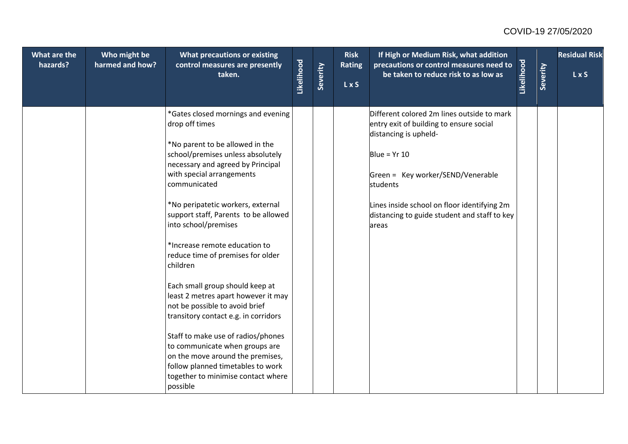| What are the<br>hazards? | Who might be<br>harmed and how? | What precautions or existing<br>control measures are presently<br>taken.                                                                                                                                                                                                                                                                                                                                                                                                                                                                                                                                                                                                                                                                                     | Likelihood | Severity | <b>Risk</b><br><b>Rating</b><br><b>LxS</b> | If High or Medium Risk, what addition<br>precautions or control measures need to<br>be taken to reduce risk to as low as                                                                                                                                                                  | Likelihood | Severity | <b>Residual Risk</b><br>L x S |
|--------------------------|---------------------------------|--------------------------------------------------------------------------------------------------------------------------------------------------------------------------------------------------------------------------------------------------------------------------------------------------------------------------------------------------------------------------------------------------------------------------------------------------------------------------------------------------------------------------------------------------------------------------------------------------------------------------------------------------------------------------------------------------------------------------------------------------------------|------------|----------|--------------------------------------------|-------------------------------------------------------------------------------------------------------------------------------------------------------------------------------------------------------------------------------------------------------------------------------------------|------------|----------|-------------------------------|
|                          |                                 | *Gates closed mornings and evening<br>drop off times<br>*No parent to be allowed in the<br>school/premises unless absolutely<br>necessary and agreed by Principal<br>with special arrangements<br>communicated<br>*No peripatetic workers, external<br>support staff, Parents to be allowed<br>into school/premises<br>*Increase remote education to<br>reduce time of premises for older<br>children<br>Each small group should keep at<br>least 2 metres apart however it may<br>not be possible to avoid brief<br>transitory contact e.g. in corridors<br>Staff to make use of radios/phones<br>to communicate when groups are<br>on the move around the premises,<br>follow planned timetables to work<br>together to minimise contact where<br>possible |            |          |                                            | Different colored 2m lines outside to mark<br>entry exit of building to ensure social<br>distancing is upheld-<br>Blue = $Yr$ 10<br>Green = Key worker/SEND/Venerable<br>students<br>Lines inside school on floor identifying 2m<br>distancing to guide student and staff to key<br>areas |            |          |                               |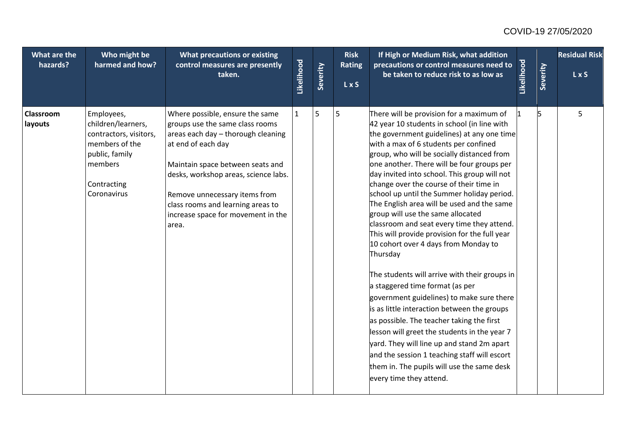| What are the<br>hazards? | Who might be<br>harmed and how?                                                                                                         | What precautions or existing<br>control measures are presently<br>taken.                                                                                                                                                                                                                                                        | Likelihood   | Severity | <b>Risk</b><br><b>Rating</b><br>L x S | If High or Medium Risk, what addition<br>precautions or control measures need to<br>be taken to reduce risk to as low as                                                                                                                                                                                                                                                                                                                                                                                                                                                                                                                                                                                                                                                                                                                                                                                                                                                                                                                                                                                      | Likelihood | Severity | <b>Residual Risk</b><br>L x S |
|--------------------------|-----------------------------------------------------------------------------------------------------------------------------------------|---------------------------------------------------------------------------------------------------------------------------------------------------------------------------------------------------------------------------------------------------------------------------------------------------------------------------------|--------------|----------|---------------------------------------|---------------------------------------------------------------------------------------------------------------------------------------------------------------------------------------------------------------------------------------------------------------------------------------------------------------------------------------------------------------------------------------------------------------------------------------------------------------------------------------------------------------------------------------------------------------------------------------------------------------------------------------------------------------------------------------------------------------------------------------------------------------------------------------------------------------------------------------------------------------------------------------------------------------------------------------------------------------------------------------------------------------------------------------------------------------------------------------------------------------|------------|----------|-------------------------------|
| Classroom<br>layouts     | Employees,<br>children/learners,<br>contractors, visitors,<br>members of the<br>public, family<br>members<br>Contracting<br>Coronavirus | Where possible, ensure the same<br>groups use the same class rooms<br>areas each day - thorough cleaning<br>at end of each day<br>Maintain space between seats and<br>desks, workshop areas, science labs.<br>Remove unnecessary items from<br>class rooms and learning areas to<br>increase space for movement in the<br>area. | $\mathbf{1}$ | 5        | 5                                     | There will be provision for a maximum of<br>42 year 10 students in school (in line with<br>the government guidelines) at any one time<br>with a max of 6 students per confined<br>group, who will be socially distanced from<br>one another. There will be four groups per<br>day invited into school. This group will not<br>change over the course of their time in<br>school up until the Summer holiday period.<br>The English area will be used and the same<br>group will use the same allocated<br>classroom and seat every time they attend.<br>This will provide provision for the full year<br>10 cohort over 4 days from Monday to<br>Thursday<br>The students will arrive with their groups in<br>a staggered time format (as per<br>government guidelines) to make sure there<br>is as little interaction between the groups<br>as possible. The teacher taking the first<br>lesson will greet the students in the year 7<br>yard. They will line up and stand 2m apart<br>and the session 1 teaching staff will escort<br>them in. The pupils will use the same desk<br>every time they attend. | 11         |          | 5                             |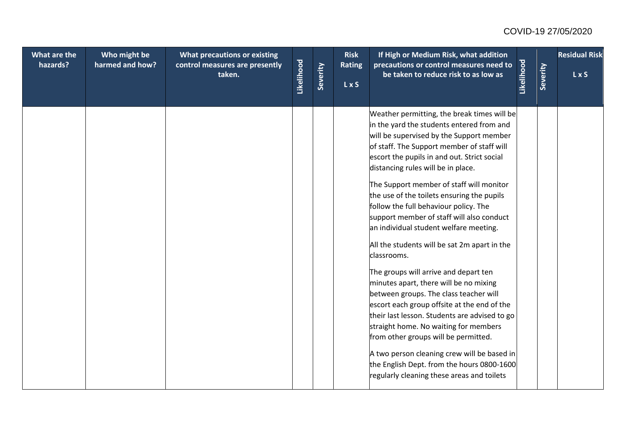| What are the<br>hazards? | Who might be<br>harmed and how? | What precautions or existing<br>control measures are presently<br>taken. | Likelihood | Severity | <b>Risk</b><br><b>Rating</b><br>LxS | If High or Medium Risk, what addition<br>precautions or control measures need to<br>be taken to reduce risk to as low as                                                                                                                                                                                                                                                                                                                                                                                                                                                                                                                                                                                                                                                                                                                                                                                                                                                                                                  | Likelihood | Severity | <b>Residual Risk</b><br>LxS |
|--------------------------|---------------------------------|--------------------------------------------------------------------------|------------|----------|-------------------------------------|---------------------------------------------------------------------------------------------------------------------------------------------------------------------------------------------------------------------------------------------------------------------------------------------------------------------------------------------------------------------------------------------------------------------------------------------------------------------------------------------------------------------------------------------------------------------------------------------------------------------------------------------------------------------------------------------------------------------------------------------------------------------------------------------------------------------------------------------------------------------------------------------------------------------------------------------------------------------------------------------------------------------------|------------|----------|-----------------------------|
|                          |                                 |                                                                          |            |          |                                     | Weather permitting, the break times will be<br>in the yard the students entered from and<br>will be supervised by the Support member<br>of staff. The Support member of staff will<br>escort the pupils in and out. Strict social<br>distancing rules will be in place.<br>The Support member of staff will monitor<br>the use of the toilets ensuring the pupils<br>follow the full behaviour policy. The<br>support member of staff will also conduct<br>an individual student welfare meeting.<br>All the students will be sat 2m apart in the<br>classrooms.<br>The groups will arrive and depart ten<br>minutes apart, there will be no mixing<br>between groups. The class teacher will<br>escort each group offsite at the end of the<br>their last lesson. Students are advised to go<br>straight home. No waiting for members<br>from other groups will be permitted.<br>A two person cleaning crew will be based in<br>the English Dept. from the hours 0800-1600<br>regularly cleaning these areas and toilets |            |          |                             |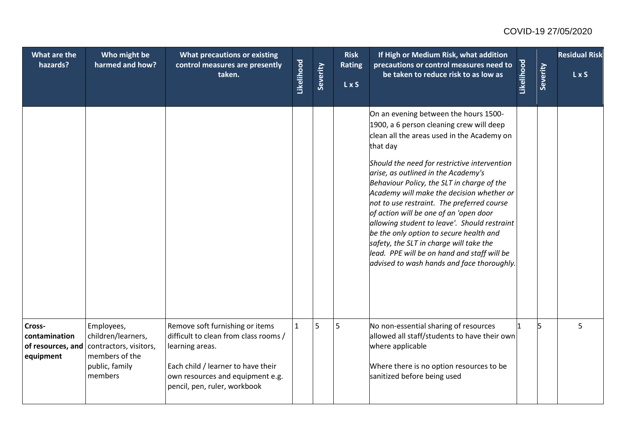| What are the<br>hazards?                                  | Who might be<br>harmed and how?                                                                           | What precautions or existing<br>control measures are presently<br>taken.                                                                                                                              | Likelihood   | Severity | <b>Risk</b><br><b>Rating</b><br>L x S | If High or Medium Risk, what addition<br>precautions or control measures need to<br>be taken to reduce risk to as low as                                                                                                                                                                                                                                                                                                                                                                                                                                                                                                                                 | Likelihood | Severity | <b>Residual Risk</b><br>LxS |
|-----------------------------------------------------------|-----------------------------------------------------------------------------------------------------------|-------------------------------------------------------------------------------------------------------------------------------------------------------------------------------------------------------|--------------|----------|---------------------------------------|----------------------------------------------------------------------------------------------------------------------------------------------------------------------------------------------------------------------------------------------------------------------------------------------------------------------------------------------------------------------------------------------------------------------------------------------------------------------------------------------------------------------------------------------------------------------------------------------------------------------------------------------------------|------------|----------|-----------------------------|
|                                                           |                                                                                                           |                                                                                                                                                                                                       |              |          |                                       | On an evening between the hours 1500-<br>1900, a 6 person cleaning crew will deep<br>clean all the areas used in the Academy on<br>that day<br>Should the need for restrictive intervention<br>arise, as outlined in the Academy's<br>Behaviour Policy, the SLT in charge of the<br>Academy will make the decision whether or<br>not to use restraint. The preferred course<br>of action will be one of an 'open door<br>allowing student to leave'. Should restraint<br>be the only option to secure health and<br>safety, the SLT in charge will take the<br>lead. PPE will be on hand and staff will be<br>advised to wash hands and face thoroughly. |            |          |                             |
| Cross-<br>contamination<br>of resources, and<br>equipment | Employees,<br>children/learners,<br>contractors, visitors,<br>members of the<br>public, family<br>members | Remove soft furnishing or items<br>difficult to clean from class rooms /<br>learning areas.<br>Each child / learner to have their<br>own resources and equipment e.g.<br>pencil, pen, ruler, workbook | $\mathbf{1}$ | 5        | 5                                     | No non-essential sharing of resources<br>allowed all staff/students to have their own<br>where applicable<br>Where there is no option resources to be<br>sanitized before being used                                                                                                                                                                                                                                                                                                                                                                                                                                                                     |            | l5       | 5                           |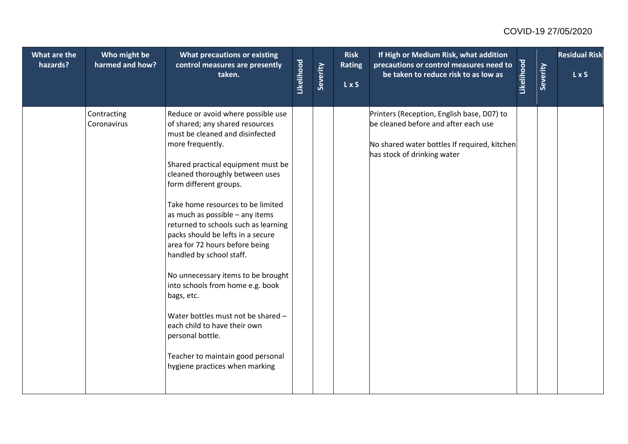| What are the<br>hazards? | Who might be<br>harmed and how? | What precautions or existing<br>control measures are presently<br>taken.                                                                                                                                                                                                                                                                                                                                                                                                                                                                                                                                                                                                                                    | Likelihood | Severity | <b>Risk</b><br><b>Rating</b><br><b>LxS</b> | If High or Medium Risk, what addition<br>precautions or control measures need to<br>be taken to reduce risk to as low as                                          | Likelihood | Severity | <b>Residual Risk</b><br>LxS |
|--------------------------|---------------------------------|-------------------------------------------------------------------------------------------------------------------------------------------------------------------------------------------------------------------------------------------------------------------------------------------------------------------------------------------------------------------------------------------------------------------------------------------------------------------------------------------------------------------------------------------------------------------------------------------------------------------------------------------------------------------------------------------------------------|------------|----------|--------------------------------------------|-------------------------------------------------------------------------------------------------------------------------------------------------------------------|------------|----------|-----------------------------|
|                          | Contracting<br>Coronavirus      | Reduce or avoid where possible use<br>of shared; any shared resources<br>must be cleaned and disinfected<br>more frequently.<br>Shared practical equipment must be<br>cleaned thoroughly between uses<br>form different groups.<br>Take home resources to be limited<br>as much as possible - any items<br>returned to schools such as learning<br>packs should be lefts in a secure<br>area for 72 hours before being<br>handled by school staff.<br>No unnecessary items to be brought<br>into schools from home e.g. book<br>bags, etc.<br>Water bottles must not be shared -<br>each child to have their own<br>personal bottle.<br>Teacher to maintain good personal<br>hygiene practices when marking |            |          |                                            | Printers (Reception, English base, D07) to<br>be cleaned before and after each use<br>No shared water bottles If required, kitchen<br>has stock of drinking water |            |          |                             |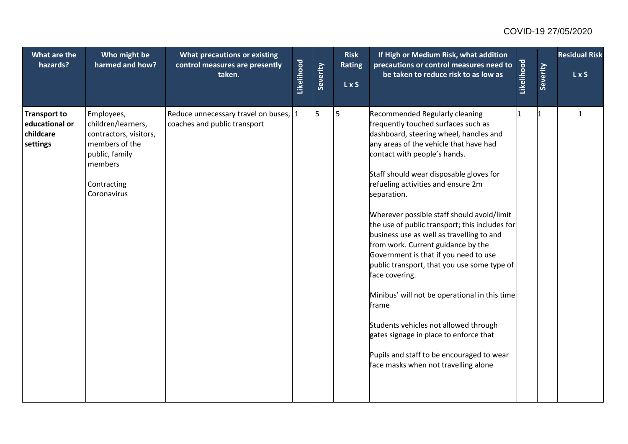| What are the<br>hazards?                                       | Who might be<br>harmed and how?                                                                                                         | What precautions or existing<br>control measures are presently<br>taken. | Likelihood | Severity | <b>Risk</b><br><b>Rating</b><br>L x S | If High or Medium Risk, what addition<br>precautions or control measures need to<br>be taken to reduce risk to as low as                                                                                                                                                                                                                                                                                                                                                                                                                                                                                                                                                                                                                                                                                                 | Likelihood | Severity | <b>Residual Risk</b><br>LxS |
|----------------------------------------------------------------|-----------------------------------------------------------------------------------------------------------------------------------------|--------------------------------------------------------------------------|------------|----------|---------------------------------------|--------------------------------------------------------------------------------------------------------------------------------------------------------------------------------------------------------------------------------------------------------------------------------------------------------------------------------------------------------------------------------------------------------------------------------------------------------------------------------------------------------------------------------------------------------------------------------------------------------------------------------------------------------------------------------------------------------------------------------------------------------------------------------------------------------------------------|------------|----------|-----------------------------|
| <b>Transport to</b><br>educational or<br>childcare<br>settings | Employees,<br>children/learners,<br>contractors, visitors,<br>members of the<br>public, family<br>members<br>Contracting<br>Coronavirus | Reduce unnecessary travel on buses, 1<br>coaches and public transport    |            | 5        | 5                                     | Recommended Regularly cleaning<br>frequently touched surfaces such as<br>dashboard, steering wheel, handles and<br>any areas of the vehicle that have had<br>contact with people's hands.<br>Staff should wear disposable gloves for<br>refueling activities and ensure 2m<br>separation.<br>Wherever possible staff should avoid/limit<br>the use of public transport; this includes for<br>business use as well as travelling to and<br>from work. Current guidance by the<br>Government is that if you need to use<br>public transport, that you use some type of<br>face covering.<br>Minibus' will not be operational in this time<br>frame<br>Students vehicles not allowed through<br>gates signage in place to enforce that<br>Pupils and staff to be encouraged to wear<br>face masks when not travelling alone |            |          | 1                           |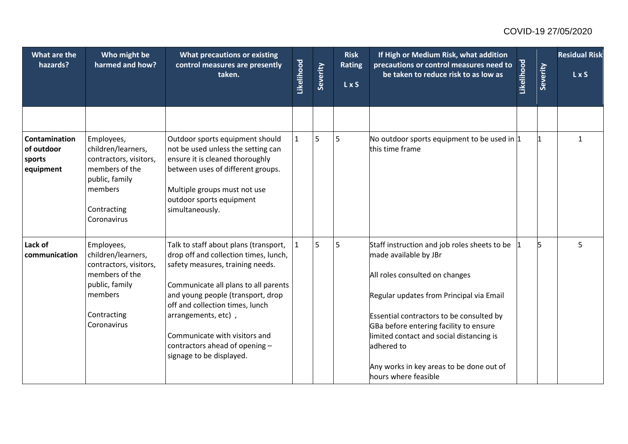| What are the<br>hazards?                           | Who might be<br>harmed and how?                                                                                                         | <b>What precautions or existing</b><br>control measures are presently<br>taken.                                                                                                                                                                                                                                                                          | Likelihood   | Severity | <b>Risk</b><br><b>Rating</b><br>L x S | If High or Medium Risk, what addition<br>precautions or control measures need to<br>be taken to reduce risk to as low as                                                                                                                                                                                                                                                | Likelihood | Severity | <b>Residual Risk</b><br>$L \times S$ |
|----------------------------------------------------|-----------------------------------------------------------------------------------------------------------------------------------------|----------------------------------------------------------------------------------------------------------------------------------------------------------------------------------------------------------------------------------------------------------------------------------------------------------------------------------------------------------|--------------|----------|---------------------------------------|-------------------------------------------------------------------------------------------------------------------------------------------------------------------------------------------------------------------------------------------------------------------------------------------------------------------------------------------------------------------------|------------|----------|--------------------------------------|
| Contamination<br>of outdoor<br>sports<br>equipment | Employees,<br>children/learners,<br>contractors, visitors,<br>members of the<br>public, family<br>members<br>Contracting<br>Coronavirus | Outdoor sports equipment should<br>not be used unless the setting can<br>ensure it is cleaned thoroughly<br>between uses of different groups.<br>Multiple groups must not use<br>outdoor sports equipment<br>simultaneously.                                                                                                                             | $\mathbf{1}$ | 5        | 5                                     | No outdoor sports equipment to be used in $ 1 $<br>this time frame                                                                                                                                                                                                                                                                                                      |            |          | $\mathbf{1}$                         |
| Lack of<br>communication                           | Employees,<br>children/learners,<br>contractors, visitors,<br>members of the<br>public, family<br>members<br>Contracting<br>Coronavirus | Talk to staff about plans (transport,<br>drop off and collection times, lunch,<br>safety measures, training needs.<br>Communicate all plans to all parents<br>and young people (transport, drop<br>off and collection times, lunch<br>arrangements, etc),<br>Communicate with visitors and<br>contractors ahead of opening -<br>signage to be displayed. | $\mathbf{1}$ | 5        | 5                                     | Staff instruction and job roles sheets to be<br>made available by JBr<br>All roles consulted on changes<br>Regular updates from Principal via Email<br>Essential contractors to be consulted by<br>GBa before entering facility to ensure<br>limited contact and social distancing is<br>adhered to<br>Any works in key areas to be done out of<br>hours where feasible |            | 5        | 5                                    |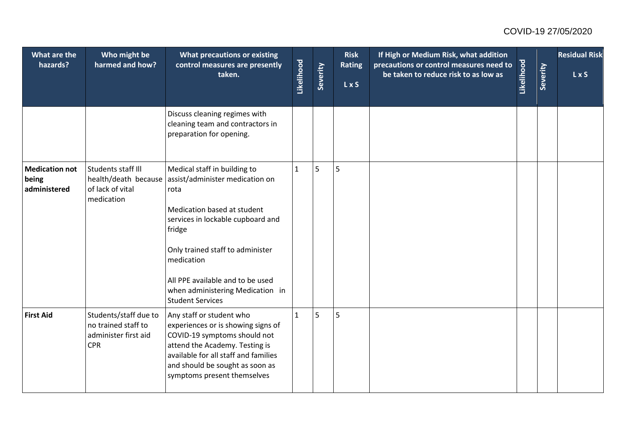| What are the<br>hazards?                       | Who might be<br>harmed and how?                                                    | <b>What precautions or existing</b><br>control measures are presently<br>taken.                                                                                                                                                                                                                                                 | Likelihood   | Severity | <b>Risk</b><br><b>Rating</b><br>L x S | If High or Medium Risk, what addition<br>precautions or control measures need to<br>be taken to reduce risk to as low as | Likelihood | Severity | <b>Residual Risk</b><br>LxS |
|------------------------------------------------|------------------------------------------------------------------------------------|---------------------------------------------------------------------------------------------------------------------------------------------------------------------------------------------------------------------------------------------------------------------------------------------------------------------------------|--------------|----------|---------------------------------------|--------------------------------------------------------------------------------------------------------------------------|------------|----------|-----------------------------|
|                                                |                                                                                    | Discuss cleaning regimes with<br>cleaning team and contractors in<br>preparation for opening.                                                                                                                                                                                                                                   |              |          |                                       |                                                                                                                          |            |          |                             |
| <b>Medication not</b><br>being<br>administered | Students staff III<br>of lack of vital<br>medication                               | Medical staff in building to<br>health/death because assist/administer medication on<br>rota<br>Medication based at student<br>services in lockable cupboard and<br>fridge<br>Only trained staff to administer<br>medication<br>All PPE available and to be used<br>when administering Medication in<br><b>Student Services</b> | $\mathbf{1}$ | 5        | 5                                     |                                                                                                                          |            |          |                             |
| <b>First Aid</b>                               | Students/staff due to<br>no trained staff to<br>administer first aid<br><b>CPR</b> | Any staff or student who<br>experiences or is showing signs of<br>COVID-19 symptoms should not<br>attend the Academy. Testing is<br>available for all staff and families<br>and should be sought as soon as<br>symptoms present themselves                                                                                      | $\mathbf{1}$ | 5        | 5                                     |                                                                                                                          |            |          |                             |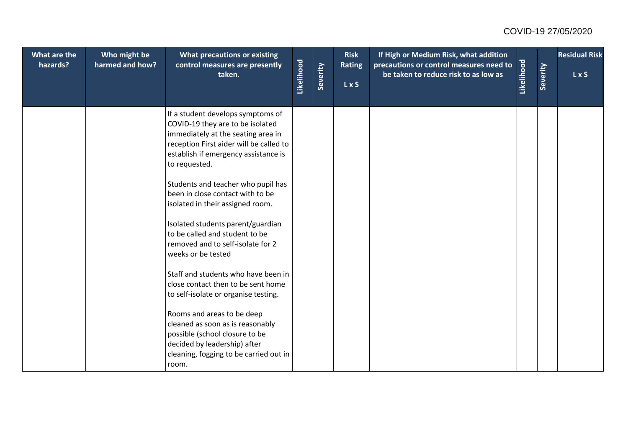| What are the<br>hazards? | Who might be<br>harmed and how? | What precautions or existing<br>control measures are presently<br>taken.                                                                                                                                        | Likelihood | Severity | <b>Risk</b><br><b>Rating</b><br>L x S | If High or Medium Risk, what addition<br>precautions or control measures need to<br>be taken to reduce risk to as low as | Likelihood | Severity | <b>Residual Risk</b><br>LxS |
|--------------------------|---------------------------------|-----------------------------------------------------------------------------------------------------------------------------------------------------------------------------------------------------------------|------------|----------|---------------------------------------|--------------------------------------------------------------------------------------------------------------------------|------------|----------|-----------------------------|
|                          |                                 | If a student develops symptoms of<br>COVID-19 they are to be isolated<br>immediately at the seating area in<br>reception First aider will be called to<br>establish if emergency assistance is<br>to requested. |            |          |                                       |                                                                                                                          |            |          |                             |
|                          |                                 | Students and teacher who pupil has<br>been in close contact with to be<br>isolated in their assigned room.                                                                                                      |            |          |                                       |                                                                                                                          |            |          |                             |
|                          |                                 | Isolated students parent/guardian<br>to be called and student to be<br>removed and to self-isolate for 2<br>weeks or be tested                                                                                  |            |          |                                       |                                                                                                                          |            |          |                             |
|                          |                                 | Staff and students who have been in<br>close contact then to be sent home<br>to self-isolate or organise testing.                                                                                               |            |          |                                       |                                                                                                                          |            |          |                             |
|                          |                                 | Rooms and areas to be deep<br>cleaned as soon as is reasonably<br>possible (school closure to be<br>decided by leadership) after<br>cleaning, fogging to be carried out in<br>room.                             |            |          |                                       |                                                                                                                          |            |          |                             |